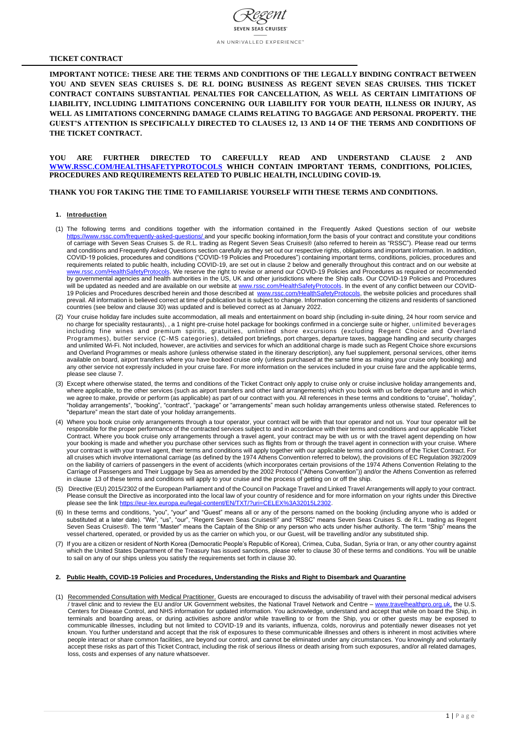# **TICKET CONTRACT**

**IMPORTANT NOTICE: THESE ARE THE TERMS AND CONDITIONS OF THE LEGALLY BINDING CONTRACT BETWEEN YOU AND SEVEN SEAS CRUISES S. DE R.L DOING BUSINESS AS REGENT SEVEN SEAS CRUISES. THIS TICKET CONTRACT CONTAINS SUBSTANTIAL PENALTIES FOR CANCELLATION, AS WELL AS CERTAIN LIMITATIONS OF LIABILITY, INCLUDING LIMITATIONS CONCERNING OUR LIABILITY FOR YOUR DEATH, ILLNESS OR INJURY, AS WELL AS LIMITATIONS CONCERNING DAMAGE CLAIMS RELATING TO BAGGAGE AND PERSONAL PROPERTY. THE GUEST'S ATTENTION IS SPECIFICALLY DIRECTED TO CLAUSES 12, 13 AND 14 OF THE TERMS AND CONDITIONS OF THE TICKET CONTRACT.** 

**YOU ARE FURTHER DIRECTED TO CAREFULLY READ AND UNDERSTAND CLAUSE 2 AND [WWW.RSSC.COM/HEALTHSAFETYPROTOCOLS](http://www.rssc.com/HEALTHSAFETYPROTOCOLS) WHICH CONTAIN IMPORTANT TERMS, CONDITIONS, POLICIES, PROCEDURES AND REQUIREMENTS RELATED TO PUBLIC HEALTH, INCLUDING COVID-19.**

# **THANK YOU FOR TAKING THE TIME TO FAMILIARISE YOURSELF WITH THESE TERMS AND CONDITIONS.**

# **1. Introduction**

- (1) The following terms and conditions together with the information contained in the Frequently Asked Questions section of our website <https://www.rssc.com/frequently-asked-questions/> and your specific booking information form the basis of your contract and constitute your conditions of carriage with Seven Seas Cruises S. de R.L. trading as Regent Seven Seas Cruises® (also referred to herein as "RSSC"). Please read our terms and conditions and Frequently Asked Questions section carefully as they set out our respective rights, obligations and important information. In addition, COVID-19 policies, procedures and conditions ("COVID-19 Policies and Procedures") containing important terms, conditions, policies, procedures and requirements related to public health, including COVID-19, are set out in clause 2 below and generally throughout this contract and on our website at [www.rssc.com/HealthSafetyProtocols.](http://www.rssc.com/HealthSafetyProtocols) We reserve the right to revise or amend our COVID-19 Policies and Procedures as required or recommended by governmental agencies and health authorities in the US, UK and other jurisdictions where the Ship calls. Our COVID-19 Policies and Procedures will be updated as needed and are available on our website at [www.rssc.com/HealthSafetyProtocols.](http://www.rssc.com/HealthSafetyProtocols) In the event of any conflict between our COVID19 Policies and Procedures described herein and those described at [www.rssc.com/HealthSafetyProtocols,](http://www.rssc.com/HealthSafetyProtocols) the website policies and procedures shall prevail. All information is believed correct at time of publication but is subject to change. Information concerning the citizens and residents of sanctioned countries (see below and clause 30) was updated and is believed correct as at January 2022.
- (2) Your cruise holiday fare includes suite accommodation, all meals and entertainment on board ship (including in-suite dining, 24 hour room service and no charge for speciality restaurants), , a 1 night pre-cruise hotel package for bookings confirmed in a concierge suite or higher, unlimited beverages including fine wines and premium spirits, gratuities, unlimited shore excursions (excluding Regent Choice and Overland Programmes), butler service (C-MS categories), detailed port briefings, port charges, departure taxes, baggage handling and security charges and unlimited Wi-Fi. Not included, however, are activities and services for which an additional charge is made such as Regent Choice shore excursions and Overland Programmes or meals ashore (unless otherwise stated in the itinerary description), any fuel supplement, personal services, other items available on board, airport transfers where you have booked cruise only (unless purchased at the same time as making your cruise only booking) and any other service not expressly included in your cruise fare. For more information on the services included in your cruise fare and the applicable terms, please see clause 7.
- (3) Except where otherwise stated, the terms and conditions of the Ticket Contract only apply to cruise only or cruise inclusive holiday arrangements and, where applicable, to the other services (such as airport transfers and other land arrangements) which you book with us before departure and in which we agree to make, provide or perform (as applicable) as part of our contract with you. All references in these terms and conditions to "cruise", "holiday", "holiday arrangements", "booking", "contract", "package" or "arrangements" mean such holiday arrangements unless otherwise stated. References to "departure" mean the start date of your holiday arrangements.
- (4) Where you book cruise only arrangements through a tour operator, your contract will be with that tour operator and not us. Your tour operator will be responsible for the proper performance of the contracted services subject to and in accordance with their terms and conditions and our applicable Ticket Contract. Where you book cruise only arrangements through a travel agent, your contract may be with us or with the travel agent depending on how your booking is made and whether you purchase other services such as flights from or through the travel agent in connection with your cruise. Where your contract is with your travel agent, their terms and conditions will apply together with our applicable terms and conditions of the Ticket Contract. For all cruises which involve international carriage (as defined by the 1974 Athens Convention referred to below), the provisions of EC Regulation 392/2009 on the liability of carriers of passengers in the event of accidents (which incorporates certain provisions of the 1974 Athens Convention Relating to the Carriage of Passengers and Their Luggage by Sea as amended by the 2002 Protocol ("Athens Convention")) and/or the Athens Convention as referred in clause 13 of these terms and conditions will apply to your cruise and the process of getting on or off the ship.
- (5) Directive (EU) 2015/2302 of the European Parliament and of the Council on Package Travel and Linked Travel Arrangements will apply to your contract. Please consult the Directive as incorporated into the local law of your country of residence and for more information on your rights under this Directive please see the link [https://eur-lex.europa.eu/legal-content/EN/TXT/?uri=CELEX%3A32015L2302.](https://eur-lex.europa.eu/legal-content/EN/TXT/?uri=CELEX%3A32015L2302)
- (6) In these terms and conditions, "you", "your" and "Guest" means all or any of the persons named on the booking (including anyone who is added or substituted at a later date). "We", "us", "our", "Regent Seven Seas Cruises®" and "RSSC" means Seven Seas Cruises S. de R.L. trading as Regent Seven Seas Cruises®. The term "Master" means the Captain of the Ship or any person who acts under his/her authority. The term "Ship" means the vessel chartered, operated, or provided by us as the carrier on which you, or our Guest, will be travelling and/or any substituted ship.
- (7) If you are a citizen or resident of North Korea (Democratic People's Republic of Korea), Crimea, Cuba, Sudan, Syria or Iran, or any other country against which the United States Department of the Treasury has issued sanctions, please refer to clause 30 of these terms and conditions. You will be unable

to sail on any of our ships unless you satisfy the requirements set forth in clause 30.

### **2. Public Health, COVID-19 Policies and Procedures, Understanding the Risks and Right to Disembark and Quarantine**

(1) Recommended Consultation with Medical Practitioner. Guests are encouraged to discuss the advisability of travel with their personal medical advisers / travel clinic and to review the EU and/or UK Government websites, the National Travel Network and Centre – [www.travelhealthpro.org.uk,](http://www.travelhealthpro.org.uk/) the U.S. Centers for Disease Control, and NHS information for updated information. You acknowledge, understand and accept that while on board the Ship, in terminals and boarding areas, or during activities ashore and/or while travelling to or from the Ship, you or other guests may be exposed to communicable illnesses, including but not limited to COVID-19 and its variants, influenza, colds, norovirus and potentially newer diseases not yet known. You further understand and accept that the risk of exposures to these communicable illnesses and others is inherent in most activities where people interact or share common facilities, are beyond our control, and cannot be eliminated under any circumstances. You knowingly and voluntarily accept these risks as part of this Ticket Contract, including the risk of serious illness or death arising from such exposures, and/or all related damages, loss, costs and expenses of any nature whatsoever.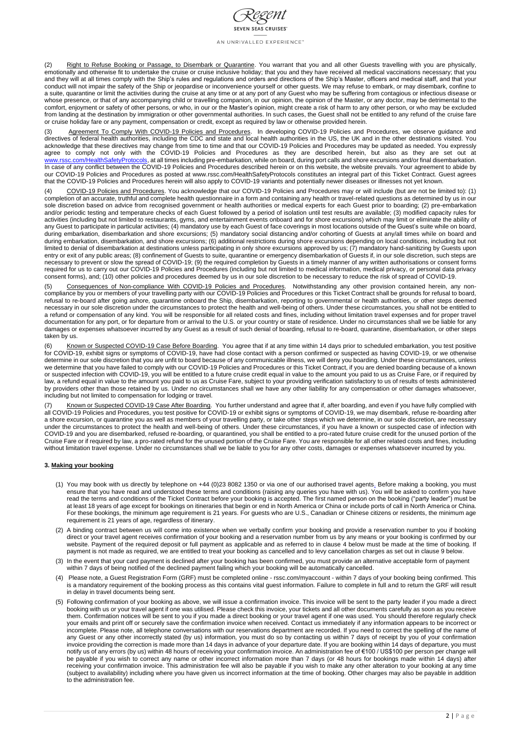

(2) Right to Refuse Booking or Passage, to Disembark or Quarantine. You warrant that you and all other Guests travelling with you are physically, emotionally and otherwise fit to undertake the cruise or cruise inclusive holiday; that you and they have received all medical vaccinations necessary; that you and they will at all times comply with the Ship's rules and regulations and orders and directions of the Ship's Master, officers and medical staff, and that your conduct will not impair the safety of the Ship or jeopardise or inconvenience yourself or other guests. We may refuse to embark, or may disembark, confine to a suite, quarantine or limit the activities during the cruise at any time or at any port of any Guest who may be suffering from contagious or infectious disease or whose presence, or that of any accompanying child or travelling companion, in our opinion, the opinion of the Master, or any doctor, may be detrimental to the comfort, enjoyment or safety of other persons, or who, in our or the Master's opinion, might create a risk of harm to any other person, or who may be excluded from landing at the destination by immigration or other governmental authorities. In such cases, the Guest shall not be entitled to any refund of the cruise fare or cruise holiday fare or any payment, compensation or credit, except as required by law or otherwise provided herein.

(3) Agreement To Comply With COVID-19 Policies and Procedures. In developing COVID-19 Policies and Procedures, we observe guidance and directives of federal health authorities, including the CDC and state and local health authorities in the US, the UK and in the other destinations visited. You acknowledge that these directives may change from time to time and that our COVID-19 Policies and Procedures may be updated as needed. You expressly agree to comply not only with the COVID-19 Policies and Procedures as they are described herein, but also as they are set out at [www.rssc.com/HealthSafetyProtocols,](http://www.rssc.com/HealthSafetyProtocols) at all times including pre-embarkation, while on board, during port calls and shore excursions and/or final disembarkation. In case of any conflict between the COVID-19 Policies and Procedures described herein or on this website, the website prevails. Your agreement to abide by our COVID-19 Policies and Procedures as posted at www.rssc.com/HealthSafetyProtocols constitutes an integral part of this Ticket Contract. Guest agrees that the COVID-19 Policies and Procedures herein will also apply to COVID-19 variants and potentially newer diseases or illnesses not yet known.

(6) Known or Suspected COVID-19 Case Before Boarding. You agree that if at any time within 14 days prior to scheduled embarkation, you test positive for COVID-19, exhibit signs or symptoms of COVID-19, have had close contact with a person confirmed or suspected as having COVID-19, or we otherwise determine in our sole discretion that you are unfit to board because of any communicable illness, we will deny you boarding. Under these circumstances, unless we determine that you have failed to comply with our COVID-19 Policies and Procedures or this Ticket Contract, if you are denied boarding because of a known or suspected infection with COVID-19, you will be entitled to a future cruise credit equal in value to the amount you paid to us as Cruise Fare, or if required by law, a refund equal in value to the amount you paid to us as Cruise Fare, subject to your providing verification satisfactory to us of results of tests administered by providers other than those retained by us. Under no circumstances shall we have any other liability for any compensation or other damages whatsoever, including but not limited to compensation for lodging or travel.

(7) Known or Suspected COVID-19 Case After Boarding. You further understand and agree that if, after boarding, and even if you have fully complied with all COVID-19 Policies and Procedures, you test positive for COVID-19 or exhibit signs or symptoms of COVID-19, we may disembark, refuse re-boarding after a shore excursion, or quarantine you as well as members of your travelling party, or take other steps which we determine, in our sole discretion, are necessary under the circumstances to protect the health and well-being of others. Under these circumstances, if you have a known or suspected case of infection with COVID-19 and you are disembarked, refused re-boarding, or quarantined, you shall be entitled to a pro-rated future cruise credit for the unused portion of the Cruise Fare or if required by law, a pro-rated refund for the unused portion of the Cruise Fare. You are responsible for all other related costs and fines, including without limitation travel expense. Under no circumstances shall we be liable to you for any other costs, damages or expenses whatsoever incurred by you.

(4) COVID-19 Policies and Procedures. You acknowledge that our COVID-19 Policies and Procedures may or will include (but are not be limited to): (1) completion of an accurate, truthful and complete health questionnaire in a form and containing any health or travel-related questions as determined by us in our sole discretion based on advice from recognised government or health authorities or medical experts for each Guest prior to boarding; (2) pre-embarkation and/or periodic testing and temperature checks of each Guest followed by a period of isolation until test results are available; (3) modified capacity rules for activities (including but not limited to restaurants, gyms, and entertainment events onboard and for shore excursions) which may limit or eliminate the ability of any Guest to participate in particular activities; (4) mandatory use by each Guest of face coverings in most locations outside of the Guest's suite while on board, during embarkation, disembarkation and shore excursions; (5) mandatory social distancing and/or cohorting of Guests at any/all times while on board and during embarkation, disembarkation, and shore excursions; (6) additional restrictions during shore excursions depending on local conditions, including but not limited to denial of disembarkation at destinations unless participating in only shore excursions approved by us; (7) mandatory hand-sanitizing by Guests upon entry or exit of any public areas; (8) confinement of Guests to suite, quarantine or emergency disembarkation of Guests if, in our sole discretion, such steps are necessary to prevent or slow the spread of COVID-19; (9) the required completion by Guests in a timely manner of any written authorisations or consent forms required for us to carry out our COVID-19 Policies and Procedures (including but not limited to medical information, medical privacy, or personal data privacy consent forms), and; (10) other policies and procedures deemed by us in our sole discretion to be necessary to reduce the risk of spread of COVID-19.

(5) Consequences of Non-compliance With COVID-19 Policies and Procedures. Notwithstanding any other provision contained herein, any noncompliance by you or members of your travelling party with our COVID-19 Policies and Procedures or this Ticket Contract shall be grounds for refusal to board, refusal to re-board after going ashore, quarantine onboard the Ship, disembarkation, reporting to governmental or health authorities, or other steps deemed necessary in our sole discretion under the circumstances to protect the health and well-being of others. Under these circumstances, you shall not be entitled to a refund or compensation of any kind. You will be responsible for all related costs and fines, including without limitation travel expenses and for proper travel documentation for any port, or for departure from or arrival to the U.S. or your country or state of residence. Under no circumstances shall we be liable for any damages or expenses whatsoever incurred by any Guest as a result of such denial of boarding, refusal to re-board, quarantine, disembarkation, or other steps taken by us.

# **3. Making your booking**

- (1) You may book with us directly by telephone on +44 (0)23 8082 1350 or via one of our authorised travel agents. Before making a booking, you must ensure that you have read and understood these terms and conditions (raising any queries you have with us). You will be asked to confirm you have read the terms and conditions of the Ticket Contract before your booking is accepted. The first named person on the booking ("party leader") must be at least 18 years of age except for bookings on itineraries that begin or end in North America or China or include ports of call in North America or China. For these bookings, the minimum age requirement is 21 years. For guests who are U.S., Canadian or Chinese citizens or residents, the minimum age requirement is 21 years of age, regardless of itinerary.
- (2) A binding contract between us will come into existence when we verbally confirm your booking and provide a reservation number to you if booking direct or your travel agent receives confirmation of your booking and a reservation number from us by any means or your booking is confirmed by our website. Payment of the required deposit or full payment as applicable and as referred to in clause 4 below must be made at the time of booking. If payment is not made as required, we are entitled to treat your booking as cancelled and to levy cancellation charges as set out in clause 9 below.
- (3) In the event that your card payment is declined after your booking has been confirmed, you must provide an alternative acceptable form of payment within 7 days of being notified of the declined payment failing which your booking will be automatically cancelled.
- (4) Please note, a Guest Registration Form (GRF) must be completed online rssc.com/myaccount within 7 days of your booking being confirmed. This is a mandatory requirement of the booking process as this contains vital guest information. Failure to complete in full and to return the GRF will result in delay in travel documents being sent.
- (5) Following confirmation of your booking as above, we will issue a confirmation invoice. This invoice will be sent to the party leader if you made a direct booking with us or your travel agent if one was utilised. Please check this invoice, your tickets and all other documents carefully as soon as you receive them. Confirmation notices will be sent to you if you made a direct booking or your travel agent if one was used. You should therefore regularly check your emails and print off or securely save the confirmation invoice when received. Contact us immediately if any information appears to be incorrect or incomplete. Please note, all telephone conversations with our reservations department are recorded. If you need to correct the spelling of the name of any Guest or any other incorrectly stated (by us) information, you must do so by contacting us within 7 days of receipt by you of your confirmation invoice providing the correction is made more than 14 days in advance of your departure date. If you are booking within 14 days of departure, you must notify us of any errors (by us) within 48 hours of receiving your confirmation invoice. An administration fee of €100 / US\$100 per person per change will be payable if you wish to correct any name or other incorrect information more than 7 days (or 48 hours for bookings made within 14 days) after receiving your confirmation invoice. This administration fee will also be payable if you wish to make any other alteration to your booking at any time (subject to availability) including where you have given us incorrect information at the time of booking. Other charges may also be payable in addition to the administration fee.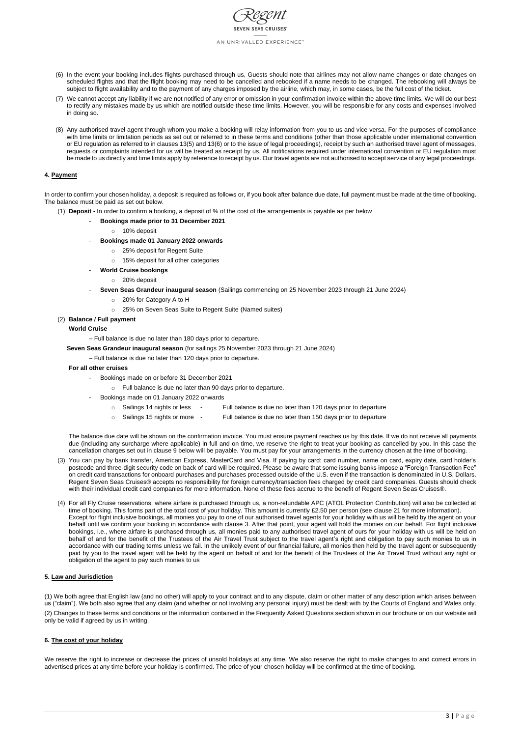

- (6) In the event your booking includes flights purchased through us, Guests should note that airlines may not allow name changes or date changes on scheduled flights and that the flight booking may need to be cancelled and rebooked if a name needs to be changed. The rebooking will always be subject to flight availability and to the payment of any charges imposed by the airline, which may, in some cases, be the full cost of the ticket.
- (7) We cannot accept any liability if we are not notified of any error or omission in your confirmation invoice within the above time limits. We will do our best to rectify any mistakes made by us which are notified outside these time limits. However, you will be responsible for any costs and expenses involved in doing so.
- (8) Any authorised travel agent through whom you make a booking will relay information from you to us and vice versa. For the purposes of compliance with time limits or limitation periods as set out or referred to in these terms and conditions (other than those applicable under international convention or EU regulation as referred to in clauses 13(5) and 13(6) or to the issue of legal proceedings), receipt by such an authorised travel agent of messages, requests or complaints intended for us will be treated as receipt by us. All notifications required under international convention or EU regulation must be made to us directly and time limits apply by reference to receipt by us. Our travel agents are not authorised to accept service of any legal proceedings.

# **4. Payment**

In order to confirm your chosen holiday, a deposit is required as follows or, if you book after balance due date, full payment must be made at the time of booking. The balance must be paid as set out below.

- (1) **Deposit -** In order to confirm a booking, a deposit of % of the cost of the arrangements is payable as per below
	- **Bookings made prior to 31 December 2021**
		- o 10% deposit
	- **Bookings made 01 January 2022 onwards**
		- o 25% deposit for Regent Suite
		- o 15% deposit for all other categories
	- **World Cruise bookings**
		- o 20% deposit
	- **Seven Seas Grandeur inaugural season** (Sailings commencing on 25 November 2023 through 21 June 2024)
		- o 20% for Category A to H
		- o 25% on Seven Seas Suite to Regent Suite (Named suites)
- (2) **Balance / Full payment**

## **World Cruise**

– Full balance is due no later than 180 days prior to departure.

**Seven Seas Grandeur inaugural season** (for sailings 25 November 2023 through 21 June 2024)

– Full balance is due no later than 120 days prior to departure.

- **For all other cruises**
	- Bookings made on or before 31 December 2021
		- o Full balance is due no later than 90 days prior to departure.
	- Bookings made on 01 January 2022 onwards
		- o Sailings 14 nights or less Full balance is due no later than 120 days prior to departure
		- o Sailings 15 nights or more Full balance is due no later than 150 days prior to departure

The balance due date will be shown on the confirmation invoice. You must ensure payment reaches us by this date. If we do not receive all payments due (including any surcharge where applicable) in full and on time, we reserve the right to treat your booking as cancelled by you. In this case the cancellation charges set out in clause 9 below will be payable. You must pay for your arrangements in the currency chosen at the time of booking.

- (3) You can pay by bank transfer, American Express, MasterCard and Visa. If paying by card: card number, name on card, expiry date, card holder's postcode and three-digit security code on back of card will be required. Please be aware that some issuing banks impose a "Foreign Transaction Fee" on credit card transactions for onboard purchases and purchases processed outside of the U.S. even if the transaction is denominated in U.S. Dollars. Regent Seven Seas Cruises® accepts no responsibility for foreign currency/transaction fees charged by credit card companies. Guests should check with their individual credit card companies for more information. None of these fees accrue to the benefit of Regent Seven Seas Cruises®.
- (4) For all Fly Cruise reservations, where airfare is purchased through us, a non-refundable APC (ATOL Protection Contribution) will also be collected at time of booking. This forms part of the total cost of your holiday. This amount is currently £2.50 per person (see clause 21 for more information). Except for flight inclusive bookings, all monies you pay to one of our authorised travel agents for your holiday with us will be held by the agent on your behalf until we confirm your booking in accordance with clause 3. After that point, your agent will hold the monies on our behalf. For flight inclusive bookings, i.e., where airfare is purchased through us, all monies paid to any authorised travel agent of ours for your holiday with us will be held on behalf of and for the benefit of the Trustees of the Air Travel Trust subject to the travel agent's right and obligation to pay such monies to us in accordance with our trading terms unless we fail. In the unlikely event of our financial failure, all monies then held by the travel agent or subsequently paid by you to the travel agent will be held by the agent on behalf of and for the benefit of the Trustees of the Air Travel Trust without any right or

obligation of the agent to pay such monies to us

### **5. Law and Jurisdiction**

(1) We both agree that English law (and no other) will apply to your contract and to any dispute, claim or other matter of any description which arises between us ("claim"). We both also agree that any claim (and whether or not involving any personal injury) must be dealt with by the Courts of England and Wales only. (2) Changes to these terms and conditions or the information contained in the Frequently Asked Questions section shown in our brochure or on our website will only be valid if agreed by us in writing.

### **6. The cost of your holiday**

We reserve the right to increase or decrease the prices of unsold holidays at any time. We also reserve the right to make changes to and correct errors in advertised prices at any time before your holiday is confirmed. The price of your chosen holiday will be confirmed at the time of booking.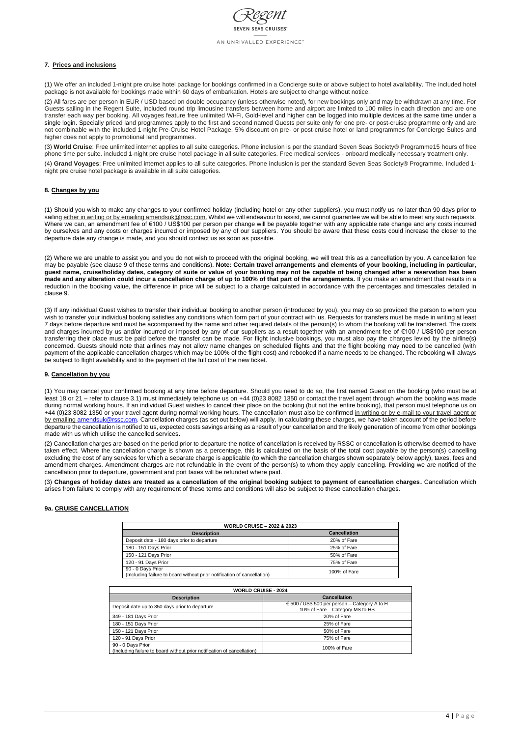

# **7. Prices and inclusions**

(1) We offer an included 1-night pre cruise hotel package for bookings confirmed in a Concierge suite or above subject to hotel availability. The included hotel package is not available for bookings made within 60 days of embarkation. Hotels are subject to change without notice.

(2) All fares are per person in EUR / USD based on double occupancy (unless otherwise noted), for new bookings only and may be withdrawn at any time. For Guests sailing in the Regent Suite, included round trip limousine transfers between home and airport are limited to 100 miles in each direction and are one transfer each way per booking. All voyages feature free unlimited Wi-Fi, Gold-level and higher can be logged into multiple devices at the same time under a single login. Specially priced land programmes apply to the first and second named Guests per suite only for one pre- or post-cruise programme only and are not combinable with the included 1-night Pre-Cruise Hotel Package. 5% discount on pre- or post-cruise hotel or land programmes for Concierge Suites and higher does not apply to promotional land programmes.

(3) **World Cruise**: Free unlimited internet applies to all suite categories. Phone inclusion is per the standard Seven Seas Society® Programme15 hours of free phone time per suite. included 1-night pre cruise hotel package in all suite categories. Free medical services - onboard medically necessary treatment only.

(4) **Grand Voyages**: Free unlimited internet applies to all suite categories. Phone inclusion is per the standard Seven Seas Society® Programme. Included 1 night pre cruise hotel package is available in all suite categories.

# **8. Changes by you**

(1) Should you wish to make any changes to your confirmed holiday (including hotel or any other suppliers), you must notify us no later than 90 days prior to sailing either in writing or by emailing amendsuk@rssc.com. Whilst we will endeavour to assist, we cannot guarantee we will be able to meet any such requests. Where we can, an amendment fee of €100 / US\$100 per person per change will be payable together with any applicable rate change and any costs incurred by ourselves and any costs or charges incurred or imposed by any of our suppliers. You should be aware that these costs could increase the closer to the departure date any change is made, and you should contact us as soon as possible.

(2) Where we are unable to assist you and you do not wish to proceed with the original booking, we will treat this as a cancellation by you. A cancellation fee may be payable (see clause 9 of these terms and conditions). **Note: Certain travel arrangements and elements of your booking, including in particular, guest name, cruise/holiday dates, category of suite or value of your booking may not be capable of being changed after a reservation has been made and any alteration could incur a cancellation charge of up to 100% of that part of the arrangements.** If you make an amendment that results in a reduction in the booking value, the difference in price will be subject to a charge calculated in accordance with the percentages and timescales detailed in clause 9.

(3) If any individual Guest wishes to transfer their individual booking to another person (introduced by you), you may do so provided the person to whom you wish to transfer your individual booking satisfies any conditions which form part of your contract with us. Requests for transfers must be made in writing at least 7 days before departure and must be accompanied by the name and other required details of the person(s) to whom the booking will be transferred. The costs and charges incurred by us and/or incurred or imposed by any of our suppliers as a result together with an amendment fee of €100 / US\$100 per person transferring their place must be paid before the transfer can be made. For flight inclusive bookings, you must also pay the charges levied by the airline(s) concerned. Guests should note that airlines may not allow name changes on scheduled flights and that the flight booking may need to be cancelled (with payment of the applicable cancellation charges which may be 100% of the flight cost) and rebooked if a name needs to be changed. The rebooking will always be subject to flight availability and to the payment of the full cost of the new ticket.

### **9. Cancellation by you**

(1) You may cancel your confirmed booking at any time before departure. Should you need to do so, the first named Guest on the booking (who must be at least 18 or 21 – refer to clause 3.1) must immediately telephone us on +44 (0)23 8082 1350 or contact the travel agent through whom the booking was made during normal working hours. If an individual Guest wishes to cancel their place on the booking (but not the entire booking), that person must telephone us on +44 (0)23 8082 1350 or your travel agent during normal working hours. The cancellation must also be confirmed in writing or by e-mail to your travel agent or by emailing amendsuk@rssc.com. Cancellation charges (as set out below) will apply. In calculating these charges, we have taken account of the period before departure the cancellation is notified to us, expected costs savings arising as a result of your cancellation and the likely generation of income from other bookings made with us which utilise the cancelled services.

(2) Cancellation charges are based on the period prior to departure the notice of cancellation is received by RSSC or cancellation is otherwise deemed to have taken effect. Where the cancellation charge is shown as a percentage, this is calculated on the basis of the total cost payable by the person(s) cancelling excluding the cost of any services for which a separate charge is applicable (to which the cancellation charges shown separately below apply), taxes, fees and amendment charges. Amendment charges are not refundable in the event of the person(s) to whom they apply cancelling. Providing we are notified of the cancellation prior to departure, government and port taxes will be refunded where paid.

(3) **Changes of holiday dates are treated as a cancellation of the original booking subject to payment of cancellation charges.** Cancellation which arises from failure to comply with any requirement of these terms and conditions will also be subject to these cancellation charges.

### **9a. CRUISE CANCELLATION**

| <b>WORLD CRUISE - 2022 &amp; 2023</b>                                                        |                     |  |  |
|----------------------------------------------------------------------------------------------|---------------------|--|--|
| <b>Description</b>                                                                           | <b>Cancellation</b> |  |  |
| Deposit date - 180 days prior to departure                                                   | 20% of Fare         |  |  |
| 180 - 151 Days Prior                                                                         | 25% of Fare         |  |  |
| 150 - 121 Days Prior                                                                         | 50% of Fare         |  |  |
| 120 - 91 Days Prior                                                                          | 75% of Fare         |  |  |
| 90 - 0 Days Prior<br>(Including failure to board without prior notification of cancellation) | 100% of Fare        |  |  |

| <b>WORLD CRUISE - 2024</b>                                                                   |                                                                                           |  |  |
|----------------------------------------------------------------------------------------------|-------------------------------------------------------------------------------------------|--|--|
| <b>Description</b>                                                                           | <b>Cancellation</b>                                                                       |  |  |
| Deposit date up to 350 days prior to departure                                               | $\epsilon$ 500 / US\$ 500 per person – Category A to H<br>10% of Fare - Category MS to HS |  |  |
| 349 - 181 Days Prior                                                                         | 20% of Fare                                                                               |  |  |
| 180 - 151 Days Prior                                                                         | 25% of Fare                                                                               |  |  |
| 150 - 121 Days Prior                                                                         | 50% of Fare                                                                               |  |  |
| 120 - 91 Days Prior                                                                          | 75% of Fare                                                                               |  |  |
| 90 - 0 Days Prior<br>(Including failure to board without prior notification of cancellation) | 100% of Fare                                                                              |  |  |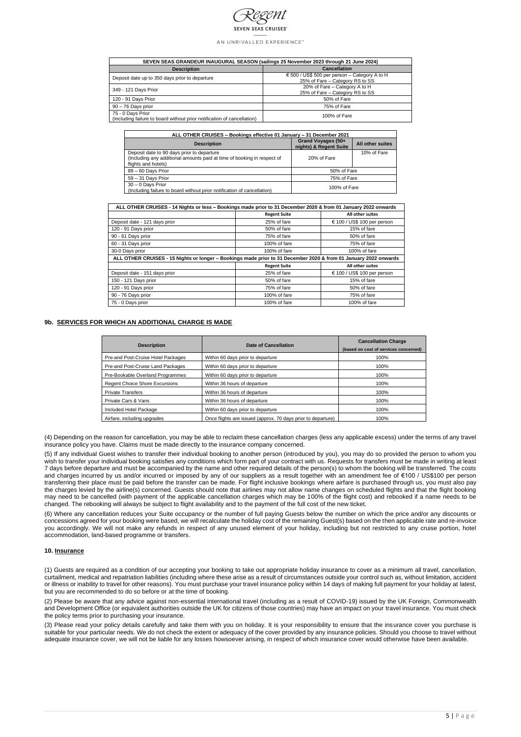

| SEVEN SEAS GRANDEUR INAUGURAL SEASON (sailings 25 November 2023 through 21 June 2024)        |                                                                                           |  |  |
|----------------------------------------------------------------------------------------------|-------------------------------------------------------------------------------------------|--|--|
| <b>Description</b>                                                                           | <b>Cancellation</b>                                                                       |  |  |
| Deposit date up to 350 days prior to departure                                               | $\epsilon$ 500 / US\$ 500 per person – Category A to H<br>25% of Fare – Category RS to SS |  |  |
| 349 - 121 Days Prior                                                                         | 20% of Fare - Category A to H<br>25% of Fare – Category RS to SS                          |  |  |
| 120 - 91 Days Prior                                                                          | 50% of Fare                                                                               |  |  |
| $90 - 76$ Days prior                                                                         | 75% of Fare                                                                               |  |  |
| 75 - 0 Days Prior<br>(Including failure to board without prior notification of cancellation) | 100% of Fare                                                                              |  |  |

| ALL OTHER CRUISES - Bookings effective 01 January - 31 December 2021                                                                         |                                              |                         |  |
|----------------------------------------------------------------------------------------------------------------------------------------------|----------------------------------------------|-------------------------|--|
| <b>Description</b>                                                                                                                           | Grand Voyages (50+<br>nights) & Regent Suite | <b>All other suites</b> |  |
| Deposit date to 90 days prior to departure<br>(Including any additional amounts paid at time of booking in respect of<br>flights and hotels) | 20% of Fare                                  | 10% of Fare             |  |
| 89 - 60 Days Prior                                                                                                                           | 50% of Fare                                  |                         |  |
| $59 - 31$ Days Prior                                                                                                                         | 75% of Fare                                  |                         |  |
| $30 - 0$ Days Prior<br>(Including failure to board without prior notification of cancellation)                                               | 100% of Fare                                 |                         |  |

| ALL OTHER CRUISES - 14 Nights or less - Bookings made prior to 31 December 2020 & from 01 January 2022 onwards   |                     |                             |  |
|------------------------------------------------------------------------------------------------------------------|---------------------|-----------------------------|--|
|                                                                                                                  | <b>Regent Suite</b> | All other suites            |  |
| Deposit date - 121 days prior                                                                                    | 25% of fare         | € 100 / US\$ 100 per person |  |
| 120 - 91 Days prior                                                                                              | 50% of fare         | 15% of fare                 |  |
| 90 - 61 Days prior                                                                                               | 75% of fare         | 50% of fare                 |  |
| 60 - 31 Days prior                                                                                               | 100% of fare        | 75% of fare                 |  |
| 30-0 Days prior                                                                                                  | 100% of fare        | 100% of fare                |  |
| ALL OTHER CRUISES - 15 Nights or longer - Bookings made prior to 31 December 2020 & from 01 January 2022 onwards |                     |                             |  |
|                                                                                                                  | <b>Regent Suite</b> | All other suites            |  |
| Deposit date - 151 days prior                                                                                    | 25% of fare         | € 100 / US\$ 100 per person |  |
| 150 - 121 Days prior                                                                                             | 50% of fare         | 15% of fare                 |  |
| 120 - 91 Days prior                                                                                              | 75% of fare         | 50% of fare                 |  |
| 90 - 76 Days prior                                                                                               | 100% of fare        | 75% of fare                 |  |
| 75 - 0 Days prior                                                                                                | 100% of fare        | 100% of fare                |  |

### **9b. SERVICES FOR WHICH AN ADDITIONAL CHARGE IS MADE**

| <b>Description</b>                    | Date of Cancellation                                         | <b>Cancellation Charge</b><br>(based on cost of services concerned) |
|---------------------------------------|--------------------------------------------------------------|---------------------------------------------------------------------|
| Pre-and Post-Cruise Hotel Packages    | Within 60 days prior to departure                            | 100%                                                                |
| Pre-and Post-Cruise Land Packages     | Within 60 days prior to departure                            | 100%                                                                |
| Pre-Bookable Overland Programmes      | Within 60 days prior to departure                            | 100%                                                                |
| <b>Regent Choice Shore Excursions</b> | Within 36 hours of departure                                 | 100%                                                                |
| <b>Private Transfers</b>              | Within 36 hours of departure                                 | 100%                                                                |
| Private Cars & Vans                   | Within 36 hours of departure                                 | 100%                                                                |
| Included Hotel Package                | Within 60 days prior to departure                            | 100%                                                                |
| Airfare, including upgrades           | Once flights are issued (approx. 70 days prior to departure) | 100%                                                                |

(4) Depending on the reason for cancellation, you may be able to reclaim these cancellation charges (less any applicable excess) under the terms of any travel insurance policy you have. Claims must be made directly to the insurance company concerned.

(5) If any individual Guest wishes to transfer their individual booking to another person (introduced by you), you may do so provided the person to whom you wish to transfer your individual booking satisfies any conditions which form part of your contract with us. Requests for transfers must be made in writing at least 7 days before departure and must be accompanied by the name and other required details of the person(s) to whom the booking will be transferred. The costs and charges incurred by us and/or incurred or imposed by any of our suppliers as a result together with an amendment fee of €100 / US\$100 per person transferring their place must be paid before the transfer can be made. For flight inclusive bookings where airfare is purchased through us, you must also pay the charges levied by the airline(s) concerned. Guests should note that airlines may not allow name changes on scheduled flights and that the flight booking may need to be cancelled (with payment of the applicable cancellation charges which may be 100% of the flight cost) and rebooked if a name needs to be changed. The rebooking will always be subject to flight availability and to the payment of the full cost of the new ticket.

(6) Where any cancellation reduces your Suite occupancy or the number of full paying Guests below the number on which the price and/or any discounts or concessions agreed for your booking were based, we will recalculate the holiday cost of the remaining Guest(s) based on the then applicable rate and re-invoice you accordingly. We will not make any refunds in respect of any unused element of your holiday, including but not restricted to any cruise portion, hotel accommodation, land-based programme or transfers.

#### **10. Insurance**

(1) Guests are required as a condition of our accepting your booking to take out appropriate holiday insurance to cover as a minimum all travel, cancellation, curtailment, medical and repatriation liabilities (including where these arise as a result of circumstances outside your control such as, without limitation, accident or illness or inability to travel for other reasons). You must purchase your travel insurance policy within 14 days of making full payment for your holiday at latest, but you are recommended to do so before or at the time of booking.

(2) Please be aware that any advice against non-essential international travel (including as a result of COVID-19) issued by the UK Foreign, Commonwealth and Development Office (or equivalent authorities outside the UK for citizens of those countries) may have an impact on your travel insurance. You must check the policy terms prior to purchasing your insurance.

(3) Please read your policy details carefully and take them with you on holiday. It is your responsibility to ensure that the insurance cover you purchase is suitable for your particular needs. We do not check the extent or adequacy of the cover provided by any insurance policies. Should you choose to travel without adequate insurance cover, we will not be liable for any losses howsoever arising, in respect of which insurance cover would otherwise have been available.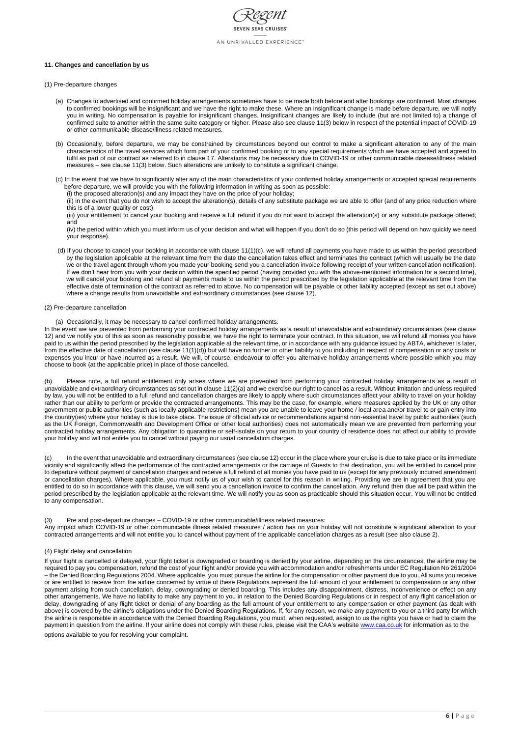

## **11. Changes and cancellation by us**

- (1) Pre-departure changes
	- (a) Changes to advertised and confirmed holiday arrangements sometimes have to be made both before and after bookings are confirmed. Most changes to confirmed bookings will be insignificant and we have the right to make these. Where an insignificant change is made before departure, we will notify you in writing. No compensation is payable for insignificant changes. Insignificant changes are likely to include (but are not limited to) a change of confirmed suite to another within the same suite category or higher. Please also see clause 11(3) below in respect of the potential impact of COVID-19 or other communicable disease/illness related measures.
	- (b) Occasionally, before departure, we may be constrained by circumstances beyond our control to make a significant alteration to any of the main characteristics of the travel services which form part of your confirmed booking or to any special requirements which we have accepted and agreed to fulfil as part of our contract as referred to in clause 17. Alterations may be necessary due to COVID-19 or other communicable disease/illness related measures – see clause 11(3) below. Such alterations are unlikely to constitute a significant change.
	- (c) In the event that we have to significantly alter any of the main characteristics of your confirmed holiday arrangements or accepted special requirements before departure, we will provide you with the following information in writing as soon as possible:

(i) the proposed alteration(s) and any impact they have on the price of your holiday;

(ii) in the event that you do not wish to accept the alteration(s), details of any substitute package we are able to offer (and of any price reduction where this is of a lower quality or cost);

(iii) your entitlement to cancel your booking and receive a full refund if you do not want to accept the alteration(s) or any substitute package offered; and

(iv) the period within which you must inform us of your decision and what will happen if you don't do so (this period will depend on how quickly we need your response).

- (d) If you choose to cancel your booking in accordance with clause 11(1)(c), we will refund all payments you have made to us within the period prescribed by the legislation applicable at the relevant time from the date the cancellation takes effect and terminates the contract (which will usually be the date we or the travel agent through whom you made your booking send you a cancellation invoice following receipt of your written cancellation notification). If we don't hear from you with your decision within the specified period (having provided you with the above-mentioned information for a second time), we will cancel your booking and refund all payments made to us within the period prescribed by the legislation applicable at the relevant time from the effective date of termination of the contract as referred to above. No compensation will be payable or other liability accepted (except as set out above) where a change results from unavoidable and extraordinary circumstances (see clause 12).
- (2) Pre-departure cancellation

(a) Occasionally, it may be necessary to cancel confirmed holiday arrangements.

If your flight is cancelled or delayed, your flight ticket is downgraded or boarding is denied by your airline, depending on the circumstances, the airline may be required to pay you compensation, refund the cost of your flight and/or provide you with accommodation and/or refreshments under EC Regulation No 261/2004 – the Denied Boarding Regulations 2004. Where applicable, you must pursue the airline for the compensation or other payment due to you. All sums you receive or are entitled to receive from the airline concerned by virtue of these Regulations represent the full amount of your entitlement to compensation or any other payment arising from such cancellation, delay, downgrading or denied boarding. This includes any disappointment, distress, inconvenience or effect on any other arrangements. We have no liability to make any payment to you in relation to the Denied Boarding Regulations or in respect of any flight cancellation or delay, downgrading of any flight ticket or denial of any boarding as the full amount of your entitlement to any compensation or other payment (as dealt with above) is covered by the airline's obligations under the Denied Boarding Regulations. If, for any reason, we make any payment to you or a third party for which the airline is responsible in accordance with the Denied Boarding Regulations, you must, when requested, assign to us the rights you have or had to claim the payment in question from the airline. If your airline does not comply with these rules, please visit the CAA's website [www.caa.co.uk](http://www.caa.co.uk/) for information as to the

In the event we are prevented from performing your contracted holiday arrangements as a result of unavoidable and extraordinary circumstances (see clause 12) and we notify you of this as soon as reasonably possible, we have the right to terminate your contract. In this situation, we will refund all monies you have paid to us within the period prescribed by the legislation applicable at the relevant time, or in accordance with any guidance issued by ABTA, whichever is later, from the effective date of cancellation (see clause 11(1)(d)) but will have no further or other liability to you including in respect of compensation or any costs or expenses you incur or have incurred as a result. We will, of course, endeavour to offer you alternative holiday arrangements where possible which you may choose to book (at the applicable price) in place of those cancelled.

(b) Please note, a full refund entitlement only arises where we are prevented from performing your contracted holiday arrangements as a result of unavoidable and extraordinary circumstances as set out in clause 11(2)(a) and we exercise our right to cancel as a result. Without limitation and unless required by law, you will not be entitled to a full refund and cancellation charges are likely to apply where such circumstances affect your ability to travel on your holiday rather than our ability to perform or provide the contracted arrangements. This may be the case, for example, where measures applied by the UK or any other government or public authorities (such as locally applicable restrictions) mean you are unable to leave your home / local area and/or travel to or gain entry into the country(ies) where your holiday is due to take place. The issue of official advice or recommendations against non-essential travel by public authorities (such as the UK Foreign, Commonwealth and Development Office or other local authorities) does not automatically mean we are prevented from performing your contracted holiday arrangements. Any obligation to quarantine or self-isolate on your return to your country of residence does not affect our ability to provide your holiday and will not entitle you to cancel without paying our usual cancellation charges.

(c) In the event that unavoidable and extraordinary circumstances (see clause 12) occur in the place where your cruise is due to take place or its immediate vicinity and significantly affect the performance of the contracted arrangements or the carriage of Guests to that destination, you will be entitled to cancel prior to departure without payment of cancellation charges and receive a full refund of all monies you have paid to us (except for any previously incurred amendment or cancellation charges). Where applicable, you must notify us of your wish to cancel for this reason in writing. Providing we are in agreement that you are entitled to do so in accordance with this clause, we will send you a cancellation invoice to confirm the cancellation. Any refund then due will be paid within the period prescribed by the legislation applicable at the relevant time. We will notify you as soon as practicable should this situation occur. You will not be entitled to any compensation.

## (3) Pre and post-departure changes – COVID-19 or other communicable/illness related measures:

Any impact which COVID-19 or other communicable illness related measures / action has on your holiday will not constitute a significant alteration to your contracted arrangements and will not entitle you to cancel without payment of the applicable cancellation charges as a result (see also clause 2).

options available to you for resolving your complaint.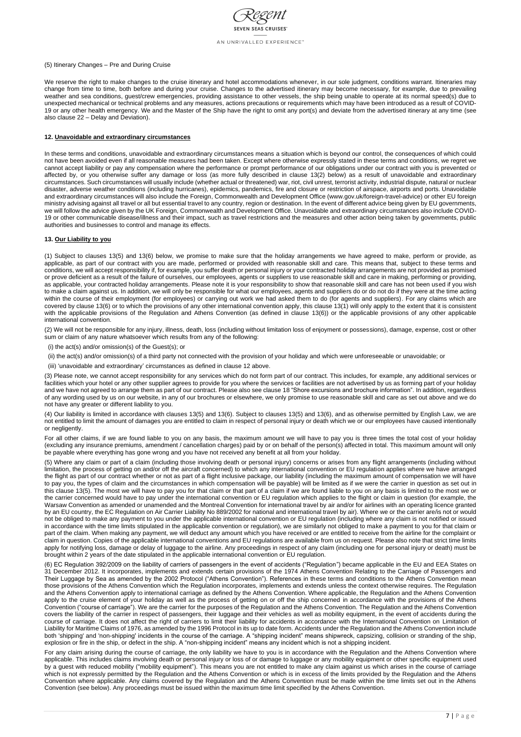

### (5) Itinerary Changes – Pre and During Cruise

We reserve the right to make changes to the cruise itinerary and hotel accommodations whenever, in our sole judgment, conditions warrant. Itineraries may change from time to time, both before and during your cruise. Changes to the advertised itinerary may become necessary, for example, due to prevailing weather and sea conditions, guest/crew emergencies, providing assistance to other vessels, the ship being unable to operate at its normal speed(s) due to unexpected mechanical or technical problems and any measures, actions precautions or requirements which may have been introduced as a result of COVID-19 or any other health emergency. We and the Master of the Ship have the right to omit any port(s) and deviate from the advertised itinerary at any time (see also clause 22 – Delay and Deviation).

# **12. Unavoidable and extraordinary circumstances**

In these terms and conditions, unavoidable and extraordinary circumstances means a situation which is beyond our control, the consequences of which could not have been avoided even if all reasonable measures had been taken. Except where otherwise expressly stated in these terms and conditions, we regret we cannot accept liability or pay any compensation where the performance or prompt performance of our obligations under our contract with you is prevented or affected by, or you otherwise suffer any damage or loss (as more fully described in clause 13(2) below) as a result of unavoidable and extraordinary circumstances. Such circumstances will usually include (whether actual or threatened) war, riot, civil unrest, terrorist activity, industrial dispute, natural or nuclear disaster, adverse weather conditions (including hurricanes), epidemics, pandemics, fire and closure or restriction of airspace, airports and ports. Unavoidable and extraordinary circumstances will also include the Foreign, Commonwealth and Development Office (www.gov.uk/foreign-travel-advice) or other EU foreign ministry advising against all travel or all but essential travel to any country, region or destination. In the event of different advice being given by EU governments, we will follow the advice given by the UK Foreign, Commonwealth and Development Office. Unavoidable and extraordinary circumstances also include COVID-19 or other communicable disease/illness and their impact, such as travel restrictions and the measures and other action being taken by governments, public authorities and businesses to control and manage its effects.

# **13. Our Liability to you**

(1) Subject to clauses 13(5) and 13(6) below, we promise to make sure that the holiday arrangements we have agreed to make, perform or provide, as applicable, as part of our contract with you are made, performed or provided with reasonable skill and care. This means that, subject to these terms and conditions, we will accept responsibility if, for example, you suffer death or personal injury or your contracted holiday arrangements are not provided as promised or prove deficient as a result of the failure of ourselves, our employees, agents or suppliers to use reasonable skill and care in making, performing or providing, as applicable, your contracted holiday arrangements. Please note it is your responsibility to show that reasonable skill and care has not been used if you wish to make a claim against us. In addition, we will only be responsible for what our employees, agents and suppliers do or do not do if they were at the time acting within the course of their employment (for employees) or carrying out work we had asked them to do (for agents and suppliers). For any claims which are covered by clause 13(6) or to which the provisions of any other international convention apply, this clause 13(1) will only apply to the extent that it is consistent with the applicable provisions of the Regulation and Athens Convention (as defined in clause 13(6)) or the applicable provisions of any other applicable international convention.

(2) We will not be responsible for any injury, illness, death, loss (including without limitation loss of enjoyment or possessions), damage, expense, cost or other sum or claim of any nature whatsoever which results from any of the following:

(i) the act(s) and/or omission(s) of the Guest(s); or

(ii) the act(s) and/or omission(s) of a third party not connected with the provision of your holiday and which were unforeseeable or unavoidable; or

(iii) 'unavoidable and extraordinary' circumstances as defined in clause 12 above.

(3) Please note, we cannot accept responsibility for any services which do not form part of our contract. This includes, for example, any additional services or facilities which your hotel or any other supplier agrees to provide for you where the services or facilities are not advertised by us as forming part of your holiday and we have not agreed to arrange them as part of our contract. Please also see clause 18 "Shore excursions and brochure information". In addition, regardless of any wording used by us on our website, in any of our brochures or elsewhere, we only promise to use reasonable skill and care as set out above and we do not have any greater or different liability to you.

(4) Our liability is limited in accordance with clauses 13(5) and 13(6). Subject to clauses 13(5) and 13(6), and as otherwise permitted by English Law, we are not entitled to limit the amount of damages you are entitled to claim in respect of personal injury or death which we or our employees have caused intentionally or negligently.

For all other claims, if we are found liable to you on any basis, the maximum amount we will have to pay you is three times the total cost of your holiday (excluding any insurance premiums, amendment / cancellation charges) paid by or on behalf of the person(s) affected in total. This maximum amount will only be payable where everything has gone wrong and you have not received any benefit at all from your holiday.

(5) Where any claim or part of a claim (including those involving death or personal injury) concerns or arises from any flight arrangements (including without limitation, the process of getting on and/or off the aircraft concerned) to which any international convention or EU regulation applies where we have arranged the flight as part of our contract whether or not as part of a flight inclusive package, our liability (including the maximum amount of compensation we will have to pay you, the types of claim and the circumstances in which compensation will be payable) will be limited as if we were the carrier in question as set out in this clause 13(5). The most we will have to pay you for that claim or that part of a claim if we are found liable to you on any basis is limited to the most we or the carrier concerned would have to pay under the international convention or EU regulation which applies to the flight or claim in question (for example, the Warsaw Convention as amended or unamended and the Montreal Convention for international travel by air and/or for airlines with an operating licence granted by an EU country, the EC Regulation on Air Carrier Liability No 889/2002 for national and international travel by air). Where we or the carrier are/is not or would not be obliged to make any payment to you under the applicable international convention or EU regulation (including where any claim is not notified or issued in accordance with the time limits stipulated in the applicable convention or regulation), we are similarly not obliged to make a payment to you for that claim or part of the claim. When making any payment, we will deduct any amount which you have received or are entitled to receive from the airline for the complaint or claim in question. Copies of the applicable international conventions and EU regulations are available from us on request. Please also note that strict time limits apply for notifying loss, damage or delay of luggage to the airline. Any proceedings in respect of any claim (including one for personal injury or death) must be brought within 2 years of the date stipulated in the applicable international convention or EU regulation.

(6) EC Regulation 392/2009 on the liability of carriers of passengers in the event of accidents ("Regulation") became applicable in the EU and EEA States on 31 December 2012. It incorporates, implements and extends certain provisions of the 1974 Athens Convention Relating to the Carriage of Passengers and Their Luggage by Sea as amended by the 2002 Protocol ("Athens Convention"). References in these terms and conditions to the Athens Convention mean those provisions of the Athens Convention which the Regulation incorporates, implements and extends unless the context otherwise requires. The Regulation and the Athens Convention apply to international carriage as defined by the Athens Convention. Where applicable, the Regulation and the Athens Convention apply to the cruise element of your holiday as well as the process of getting on or off the ship concerned in accordance with the provisions of the Athens Convention ("course of carriage"). We are the carrier for the purposes of the Regulation and the Athens Convention. The Regulation and the Athens Convention covers the liability of the carrier in respect of passengers, their luggage and their vehicles as well as mobility equipment, in the event of accidents during the course of carriage. It does not affect the right of carriers to limit their liability for accidents in accordance with the International Convention on Limitation of Liability for Maritime Claims of 1976, as amended by the 1996 Protocol in its up to date form. Accidents under the Regulation and the Athens Convention include both 'shipping' and 'non-shipping' incidents in the course of the carriage. A "shipping incident" means shipwreck, capsizing, collision or stranding of the ship, explosion or fire in the ship, or defect in the ship. A "non-shipping incident" means any incident which is not a shipping incident.

For any claim arising during the course of carriage, the only liability we have to you is in accordance with the Regulation and the Athens Convention where applicable. This includes claims involving death or personal injury or loss of or damage to luggage or any mobility equipment or other specific equipment used by a guest with reduced mobility ("mobility equipment"). This means you are not entitled to make any claim against us which arises in the course of carriage which is not expressly permitted by the Regulation and the Athens Convention or which is in excess of the limits provided by the Regulation and the Athens Convention where applicable. Any claims covered by the Regulation and the Athens Convention must be made within the time limits set out in the Athens Convention (see below). Any proceedings must be issued within the maximum time limit specified by the Athens Convention.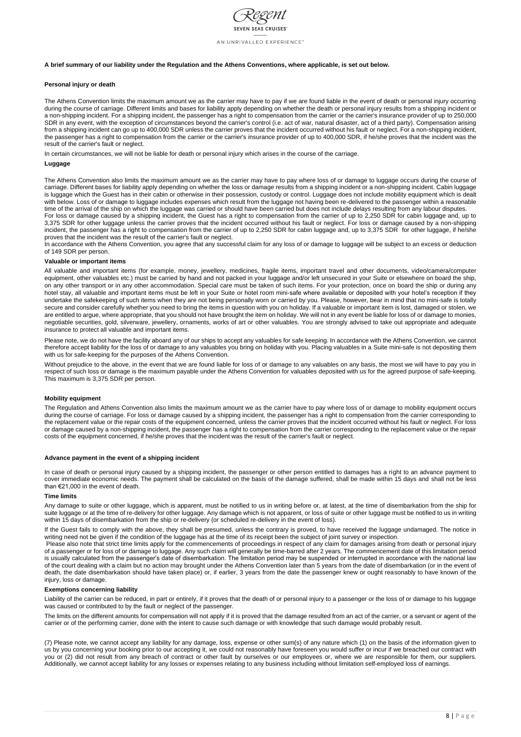

### **A brief summary of our liability under the Regulation and the Athens Conventions, where applicable, is set out below.**

### **Personal injury or death**

The Athens Convention limits the maximum amount we as the carrier may have to pay if we are found liable in the event of death or personal injury occurring during the course of carriage. Different limits and bases for liability apply depending on whether the death or personal injury results from a shipping incident or a non-shipping incident. For a shipping incident, the passenger has a right to compensation from the carrier or the carrier's insurance provider of up to 250,000 SDR in any event, with the exception of circumstances beyond the carrier's control (i.e. act of war, natural disaster, act of a third party). Compensation arising from a shipping incident can go up to 400,000 SDR unless the carrier proves that the incident occurred without his fault or neglect. For a non-shipping incident, the passenger has a right to compensation from the carrier or the carrier's insurance provider of up to 400,000 SDR, if he/she proves that the incident was the result of the carrier's fault or neglect.

The Athens Convention also limits the maximum amount we as the carrier may have to pay where loss of or damage to luggage occurs during the course of carriage. Different bases for liability apply depending on whether the loss or damage results from a shipping incident or a non-shipping incident. Cabin luggage is luggage which the Guest has in their cabin or otherwise in their possession, custody or control. Luggage does not include mobility equipment which is dealt with below. Loss of or damage to luggage includes expenses which result from the luggage not having been re-delivered to the passenger within a reasonable time of the arrival of the ship on which the luggage was carried or should have been carried but does not include delays resulting from any labour disputes.

In certain circumstances, we will not be liable for death or personal injury which arises in the course of the carriage.

### **Luggage**

For loss or damage caused by a shipping incident, the Guest has a right to compensation from the carrier of up to 2,250 SDR for cabin luggage and, up to 3,375 SDR for other luggage unless the carrier proves that the incident occurred without his fault or neglect. For loss or damage caused by a non-shipping incident, the passenger has a right to compensation from the carrier of up to 2,250 SDR for cabin luggage and, up to 3,375 SDR for other luggage, if he/she proves that the incident was the result of the carrier's fault or neglect.

In accordance with the Athens Convention, you agree that any successful claim for any loss of or damage to luggage will be subject to an excess or deduction of 149 SDR per person.

### **Valuable or important items**

All valuable and important items (for example, money, jewellery, medicines, fragile items, important travel and other documents, video/camera/computer equipment, other valuables etc.) must be carried by hand and not packed in your luggage and/or left unsecured in your Suite or elsewhere on board the ship, on any other transport or in any other accommodation. Special care must be taken of such items. For your protection, once on board the ship or during any hotel stay, all valuable and important items must be left in your Suite or hotel room mini-safe where available or deposited with your hotel's reception if they undertake the safekeeping of such items when they are not being personally worn or carried by you. Please, however, bear in mind that no mini-safe is totally secure and consider carefully whether you need to bring the items in question with you on holiday. If a valuable or important item is lost, damaged or stolen, we are entitled to argue, where appropriate, that you should not have brought the item on holiday. We will not in any event be liable for loss of or damage to monies, negotiable securities, gold, silverware, jewellery, ornaments, works of art or other valuables. You are strongly advised to take out appropriate and adequate insurance to protect all valuable and important items.

Please also note that strict time limits apply for the commencements of proceedings in respect of any claim for damages arising from death or personal injury of a passenger or for loss of or damage to luggage. Any such claim will generally be time-barred after 2 years. The commencement date of this limitation period is usually calculated from the passenger's date of disembarkation. The limitation period may be suspended or interrupted in accordance with the national law of the court dealing with a claim but no action may brought under the Athens Convention later than 5 years from the date of disembarkation (or in the event of death, the date disembarkation should have taken place) or, if earlier, 3 years from the date the passenger knew or ought reasonably to have known of the injury, loss or damage.

Please note, we do not have the facility aboard any of our ships to accept any valuables for safe keeping. In accordance with the Athens Convention, we cannot therefore accept liability for the loss of or damage to any valuables you bring on holiday with you. Placing valuables in a Suite mini-safe is not depositing them with us for safe-keeping for the purposes of the Athens Convention.

Without prejudice to the above, in the event that we are found liable for loss of or damage to any valuables on any basis, the most we will have to pay you in respect of such loss or damage is the maximum payable under the Athens Convention for valuables deposited with us for the agreed purpose of safe-keeping. This maximum is 3,375 SDR per person.

### **Mobility equipment**

The Regulation and Athens Convention also limits the maximum amount we as the carrier have to pay where loss of or damage to mobility equipment occurs during the course of carriage. For loss or damage caused by a shipping incident, the passenger has a right to compensation from the carrier corresponding to the replacement value or the repair costs of the equipment concerned, unless the carrier proves that the incident occurred without his fault or neglect. For loss or damage caused by a non-shipping incident, the passenger has a right to compensation from the carrier corresponding to the replacement value or the repair costs of the equipment concerned, if he/she proves that the incident was the result of the carrier's fault or neglect.

### **Advance payment in the event of a shipping incident**

In case of death or personal injury caused by a shipping incident, the passenger or other person entitled to damages has a right to an advance payment to cover immediate economic needs. The payment shall be calculated on the basis of the damage suffered, shall be made within 15 days and shall not be less than €21,000 in the event of death.

#### **Time limits**

Any damage to suite or other luggage, which is apparent, must be notified to us in writing before or, at latest, at the time of disembarkation from the ship for suite luggage or at the time of re-delivery for other luggage. Any damage which is not apparent, or loss of suite or other luggage must be notified to us in writing within 15 days of disembarkation from the ship or re-delivery (or scheduled re-delivery in the event of loss).

If the Guest fails to comply with the above, they shall be presumed, unless the contrary is proved, to have received the luggage undamaged. The notice in writing need not be given if the condition of the luggage has at the time of its receipt been the subject of joint survey or inspection.

### **Exemptions concerning liability**

Liability of the carrier can be reduced, in part or entirely, if it proves that the death of or personal injury to a passenger or the loss of or damage to his luggage was caused or contributed to by the fault or neglect of the passenger.

The limits on the different amounts for compensation will not apply if it is proved that the damage resulted from an act of the carrier, or a servant or agent of the carrier or of the performing carrier, done with the intent to cause such damage or with knowledge that such damage would probably result.

(7) Please note, we cannot accept any liability for any damage, loss, expense or other sum(s) of any nature which (1) on the basis of the information given to us by you concerning your booking prior to our accepting it, we could not reasonably have foreseen you would suffer or incur if we breached our contract with you or (2) did not result from any breach of contract or other fault by ourselves or our employees or, where we are responsible for them, our suppliers. Additionally, we cannot accept liability for any losses or expenses relating to any business including without limitation self-employed loss of earnings.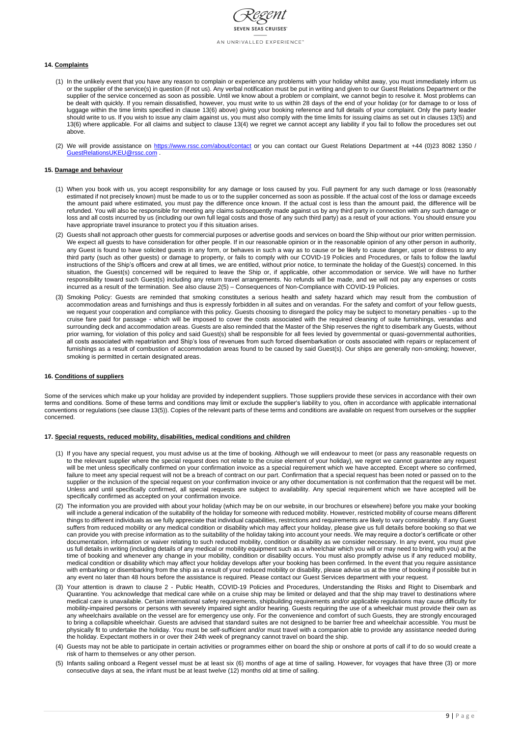

# **14. Complaints**

- (1) In the unlikely event that you have any reason to complain or experience any problems with your holiday whilst away, you must immediately inform us or the supplier of the service(s) in question (if not us). Any verbal notification must be put in writing and given to our Guest Relations Department or the supplier of the service concerned as soon as possible. Until we know about a problem or complaint, we cannot begin to resolve it. Most problems can be dealt with quickly. If you remain dissatisfied, however, you must write to us within 28 days of the end of your holiday (or for damage to or loss of luggage within the time limits specified in clause 13(6) above) giving your booking reference and full details of your complaint. Only the party leader should write to us. If you wish to issue any claim against us, you must also comply with the time limits for issuing claims as set out in clauses 13(5) and 13(6) where applicable. For all claims and subject to clause 13(4) we regret we cannot accept any liability if you fail to follow the procedures set out above.
- (2) We will provide assistance on<https://www.rssc.com/about/contact> or you can contact our Guest Relations Department at +44 (0)23 8082 1350 / [GuestRelationsUKEU@rssc.com](mailto:GuestRelationsUKEU@rssc.com) .

### **15. Damage and behaviour**

- (1) When you book with us, you accept responsibility for any damage or loss caused by you. Full payment for any such damage or loss (reasonably estimated if not precisely known) must be made to us or to the supplier concerned as soon as possible. If the actual cost of the loss or damage exceeds the amount paid where estimated, you must pay the difference once known. If the actual cost is less than the amount paid, the difference will be refunded. You will also be responsible for meeting any claims subsequently made against us by any third party in connection with any such damage or loss and all costs incurred by us (including our own full legal costs and those of any such third party) as a result of your actions. You should ensure you have appropriate travel insurance to protect you if this situation arises.
- (2) Guests shall not approach other guests for commercial purposes or advertise goods and services on board the Ship without our prior written permission. We expect all guests to have consideration for other people. If in our reasonable opinion or in the reasonable opinion of any other person in authority, any Guest is found to have solicited guests in any form, or behaves in such a way as to cause or be likely to cause danger, upset or distress to any third party (such as other guests) or damage to property, or fails to comply with our COVID-19 Policies and Procedures, or fails to follow the lawful instructions of the Ship's officers and crew at all times, we are entitled, without prior notice, to terminate the holiday of the Guest(s) concerned. In this situation, the Guest(s) concerned will be required to leave the Ship or, if applicable, other accommodation or service. We will have no further responsibility toward such Guest(s) including any return travel arrangements. No refunds will be made, and we will not pay any expenses or costs incurred as a result of the termination. See also clause 2(5) – Consequences of Non-Compliance with COVID-19 Policies.
- (3) Smoking Policy: Guests are reminded that smoking constitutes a serious health and safety hazard which may result from the combustion of accommodation areas and furnishings and thus is expressly forbidden in all suites and on verandas. For the safety and comfort of your fellow guests, we request your cooperation and compliance with this policy. Guests choosing to disregard the policy may be subject to monetary penalties - up to the cruise fare paid for passage - which will be imposed to cover the costs associated with the required cleaning of suite furnishings, verandas and surrounding deck and accommodation areas. Guests are also reminded that the Master of the Ship reserves the right to disembark any Guests, without prior warning, for violation of this policy and said Guest(s) shall be responsible for all fees levied by governmental or quasi-governmental authorities, all costs associated with repatriation and Ship's loss of revenues from such forced disembarkation or costs associated with repairs or replacement of furnishings as a result of combustion of accommodation areas found to be caused by said Guest(s). Our ships are generally non-smoking; however, smoking is permitted in certain designated areas.

### **16. Conditions of suppliers**

Some of the services which make up your holiday are provided by independent suppliers. Those suppliers provide these services in accordance with their own terms and conditions. Some of these terms and conditions may limit or exclude the supplier's liability to you, often in accordance with applicable international conventions or regulations (see clause 13(5)). Copies of the relevant parts of these terms and conditions are available on request from ourselves or the supplier concerned.

### **17. Special requests, reduced mobility, disabilities, medical conditions and children**

- (1) If you have any special request, you must advise us at the time of booking. Although we will endeavour to meet (or pass any reasonable requests on to the relevant supplier where the special request does not relate to the cruise element of your holiday), we regret we cannot guarantee any request will be met unless specifically confirmed on your confirmation invoice as a special requirement which we have accepted. Except where so confirmed, failure to meet any special request will not be a breach of contract on our part. Confirmation that a special request has been noted or passed on to the supplier or the inclusion of the special request on your confirmation invoice or any other documentation is not confirmation that the request will be met. Unless and until specifically confirmed, all special requests are subject to availability. Any special requirement which we have accepted will be specifically confirmed as accepted on your confirmation invoice.
- (2) The information you are provided with about your holiday (which may be on our website, in our brochures or elsewhere) before you make your booking will include a general indication of the suitability of the holiday for someone with reduced mobility. However, restricted mobility of course means different things to different individuals as we fully appreciate that individual capabilities, restrictions and requirements are likely to vary considerably. If any Guest suffers from reduced mobility or any medical condition or disability which may affect your holiday, please give us full details before booking so that we can provide you with precise information as to the suitability of the holiday taking into account your needs. We may require a doctor's certificate or other documentation, information or waiver relating to such reduced mobility, condition or disability as we consider necessary. In any event, you must give us full details in writing (including details of any medical or mobility equipment such as a wheelchair which you will or may need to bring with you) at the time of booking and whenever any change in your mobility, condition or disability occurs. You must also promptly advise us if any reduced mobility, medical condition or disability which may affect your holiday develops after your booking has been confirmed. In the event that you require assistance with embarking or disembarking from the ship as a result of your reduced mobility or disability, please advise us at the time of booking if possible but in any event no later than 48 hours before the assistance is required. Please contact our Guest Services department with your request.
- (3) Your attention is drawn to clause 2 Public Health, COVID-19 Policies and Procedures, Understanding the Risks and Right to Disembark and Quarantine. You acknowledge that medical care while on a cruise ship may be limited or delayed and that the ship may travel to destinations where medical care is unavailable. Certain international safety requirements, shipbuilding requirements and/or applicable regulations may cause difficulty for mobility-impaired persons or persons with severely impaired sight and/or hearing. Guests requiring the use of a wheelchair must provide their own as any wheelchairs available on the vessel are for emergency use only. For the convenience and comfort of such Guests, they are strongly encouraged to bring a collapsible wheelchair. Guests are advised that standard suites are not designed to be barrier free and wheelchair accessible. You must be physically fit to undertake the holiday. You must be self-sufficient and/or must travel with a companion able to provide any assistance needed during the holiday. Expectant mothers in or over their 24th week of pregnancy cannot travel on board the ship.
- (4) Guests may not be able to participate in certain activities or programmes either on board the ship or onshore at ports of call if to do so would create a risk of harm to themselves or any other person.
- (5) Infants sailing onboard a Regent vessel must be at least six (6) months of age at time of sailing. However, for voyages that have three (3) or more consecutive days at sea, the infant must be at least twelve (12) months old at time of sailing.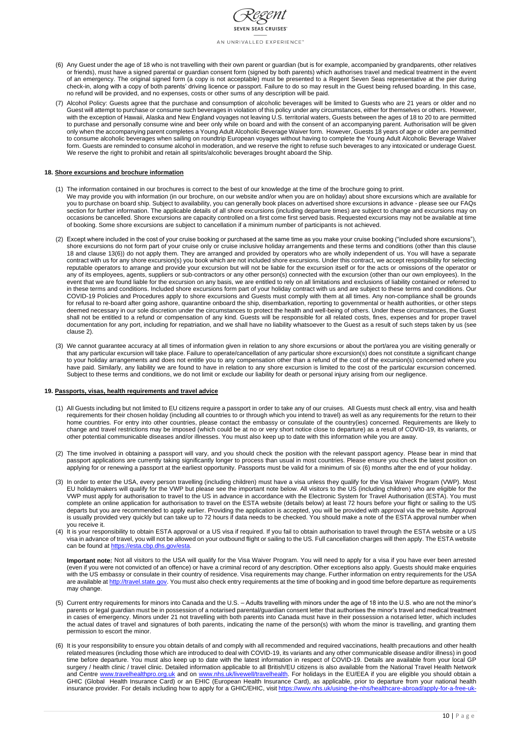

- (6) Any Guest under the age of 18 who is not travelling with their own parent or guardian (but is for example, accompanied by grandparents, other relatives or friends), must have a signed parental or guardian consent form (signed by both parents) which authorises travel and medical treatment in the event of an emergency. The original signed form (a copy is not acceptable) must be presented to a Regent Seven Seas representative at the pier during check-in, along with a copy of both parents' driving licence or passport. Failure to do so may result in the Guest being refused boarding. In this case, no refund will be provided, and no expenses, costs or other sums of any description will be paid.
- (7) Alcohol Policy: Guests agree that the purchase and consumption of alcoholic beverages will be limited to Guests who are 21 years or older and no Guest will attempt to purchase or consume such beverages in violation of this policy under any circumstances, either for themselves or others. However, with the exception of Hawaii, Alaska and New England voyages not leaving U.S. territorial waters, Guests between the ages of 18 to 20 to are permitted to purchase and personally consume wine and beer only while on board and with the consent of an accompanying parent. Authorisation will be given only when the accompanying parent completes a Young Adult Alcoholic Beverage Waiver form. However, Guests 18 years of age or older are permitted to consume alcoholic beverages when sailing on roundtrip European voyages without having to complete the Young Adult Alcoholic Beverage Waiver form. Guests are reminded to consume alcohol in moderation, and we reserve the right to refuse such beverages to any intoxicated or underage Guest. We reserve the right to prohibit and retain all spirits/alcoholic beverages brought aboard the Ship.

# **18. Shore excursions and brochure information**

- (1) All Guests including but not limited to EU citizens require a passport in order to take any of our cruises. All Guests must check all entry, visa and health requirements for their chosen holiday (including all countries to or through which you intend to travel) as well as any requirements for the return to their home countries. For entry into other countries, please contact the embassy or consulate of the country(ies) concerned. Requirements are likely to change and travel restrictions may be imposed (which could be at no or very short notice close to departure) as a result of COVID-19, its variants, or other potential communicable diseases and/or illnesses. You must also keep up to date with this information while you are away.
- (2) The time involved in obtaining a passport will vary, and you should check the position with the relevant passport agency. Please bear in mind that passport applications are currently taking significantly longer to process than usual in most countries. Please ensure you check the latest position on applying for or renewing a passport at the earliest opportunity. Passports must be valid for a minimum of six (6) months after the end of your holiday.
- (3) In order to enter the USA, every person travelling (including children) must have a visa unless they qualify for the Visa Waiver Program (VWP). Most EU holidaymakers will qualify for the VWP but please see the important note below. All visitors to the US (including children) who are eligible for the VWP must apply for authorisation to travel to the US in advance in accordance with the Electronic System for Travel Authorisation (ESTA). You must complete an online application for authorisation to travel on the ESTA website (details below) at least 72 hours before your flight or sailing to the US departs but you are recommended to apply earlier. Providing the application is accepted, you will be provided with approval via the website. Approval is usually provided very quickly but can take up to 72 hours if data needs to be checked. You should make a note of the ESTA approval number when you receive it.
- (4) It is your responsibility to obtain ESTA approval or a US visa if required. If you fail to obtain authorisation to travel through the ESTA website or a US visa in advance of travel, you will not be allowed on your outbound flight or sailing to the US. Full cancellation charges will then apply. The ESTA website can be found at [https://esta.cbp.dhs.gov/esta.](https://esta.cbp.dhs.gov/esta)
	- **Important note:** Not all visitors to the USA will qualify for the Visa Waiver Program. You will need to apply for a visa if you have ever been arrested (even if you were not convicted of an offence) or have a criminal record of any description. Other exceptions also apply. Guests should make enquiries with the US embassy or consulate in their country of residence. Visa requirements may change. Further information on entry requirements for the USA are available at [http://travel.state.gov.](http://travel.state.gov/) You must also check entry requirements at the time of booking and in good time before departure as requirements may change.
- (5) Current entry requirements for minors into Canada and the U.S. Adults travelling with minors under the age of 18 into the U.S. who are not the minor's parents or legal guardian must be in possession of a notarised parental/guardian consent letter that authorises the minor's travel and medical treatment in cases of emergency. Minors under 21 not travelling with both parents into Canada must have in their possession a notarised letter, which includes the actual dates of travel and signatures of both parents, indicating the name of the person(s) with whom the minor is travelling, and granting them permission to escort the minor.
- (6) It is your responsibility to ensure you obtain details of and comply with all recommended and required vaccinations, health precautions and other health related measures (including those which are introduced to deal with COVID-19, its variants and any other communicable disease and/or illness) in good time before departure. You must also keep up to date with the latest information in respect of COVID-19. Details are available from your local GP surgery / health clinic / travel clinic. Detailed information applicable to all British/EU citizens is also available from the National Travel Health Network and Centre [www.travelhealthpro.org.uk](http://www.travelhealthpro.org.uk/) and on [www.nhs.uk/livewell/travelhealth.](http://www.nhs.uk/livewell/travelhealth) For holidays in the EU/EEA if you are eligible you should obtain a GHIC (Global Health Insurance Card) or an EHIC (European Health Insurance Card), as applicable, prior to departure from your national health insurance provider. For details including how to apply for a GHIC/EHIC, visit [https://www.nhs.uk/using-the-nhs/healthcare-abroad/apply-for-a-free-uk-](https://www.nhs.uk/using-the-nhs/healthcare-abroad/apply-for-a-free-uk-global-health-insurance-card-ghic/)
- (1) The information contained in our brochures is correct to the best of our knowledge at the time of the brochure going to print. We may provide you with information (in our brochure, on our website and/or when you are on holiday) about shore excursions which are available for you to purchase on board ship. Subject to availability, you can generally book places on advertised shore excursions in advance - please see our FAQs section for further information. The applicable details of all shore excursions (including departure times) are subject to change and excursions may on occasions be cancelled. Shore excursions are capacity controlled on a first come first served basis. Requested excursions may not be available at time of booking. Some shore excursions are subject to cancellation if a minimum number of participants is not achieved.
- (2) Except where included in the cost of your cruise booking or purchased at the same time as you make your cruise booking ("included shore excursions"), shore excursions do not form part of your cruise only or cruise inclusive holiday arrangements and these terms and conditions (other than this clause 18 and clause 13(6)) do not apply them. They are arranged and provided by operators who are wholly independent of us. You will have a separate contract with us for any shore excursion(s) you book which are not included shore excursions. Under this contract, we accept responsibility for selecting reputable operators to arrange and provide your excursion but will not be liable for the excursion itself or for the acts or omissions of the operator or any of its employees, agents, suppliers or sub-contractors or any other person(s) connected with the excursion (other than our own employees). In the event that we are found liable for the excursion on any basis, we are entitled to rely on all limitations and exclusions of liability contained or referred to in these terms and conditions. Included shore excursions form part of your holiday contract with us and are subject to these terms and conditions. Our COVID-19 Policies and Procedures apply to shore excursions and Guests must comply with them at all times. Any non-compliance shall be grounds for refusal to re-board after going ashore, quarantine onboard the ship, disembarkation, reporting to governmental or health authorities, or other steps deemed necessary in our sole discretion under the circumstances to protect the health and well-being of others. Under these circumstances, the Guest shall not be entitled to a refund or compensation of any kind. Guests will be responsible for all related costs, fines, expenses and for proper travel documentation for any port, including for repatriation, and we shall have no liability whatsoever to the Guest as a result of such steps taken by us (see clause 2).
- (3) We cannot guarantee accuracy at all times of information given in relation to any shore excursions or about the port/area you are visiting generally or that any particular excursion will take place. Failure to operate/cancellation of any particular shore excursion(s) does not constitute a significant change to your holiday arrangements and does not entitle you to any compensation other than a refund of the cost of the excursion(s) concerned where you have paid. Similarly, any liability we are found to have in relation to any shore excursion is limited to the cost of the particular excursion concerned. Subject to these terms and conditions, we do not limit or exclude our liability for death or personal injury arising from our negligence.

### **19. Passports, visas, health requirements and travel advice**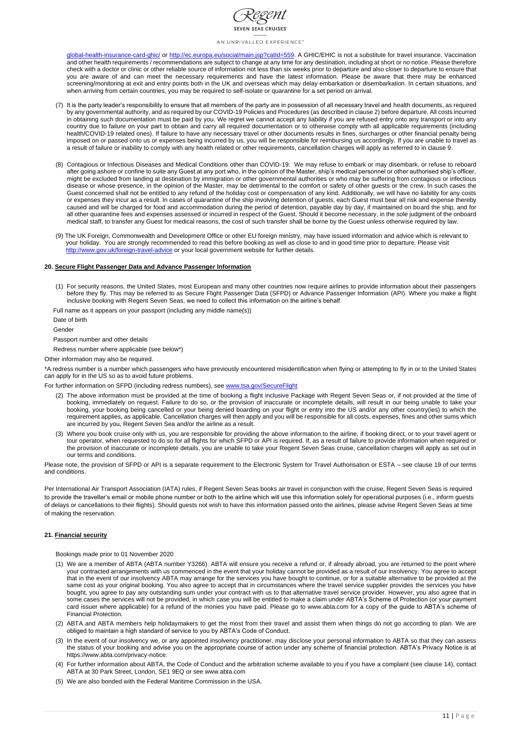

[global-health-insurance-card-ghic/](https://www.nhs.uk/using-the-nhs/healthcare-abroad/apply-for-a-free-uk-global-health-insurance-card-ghic/) or [http://ec.europa.eu/social/main.jsp?catId=559.](http://ec.europa.eu/social/main.jsp?catId=559) A GHIC/EHIC is not a substitute for travel insurance. Vaccination and other health requirements / recommendations are subject to change at any time for any destination, including at short or no notice. Please therefore check with a doctor or clinic or other reliable source of information not less than six weeks prior to departure and also closer to departure to ensure that you are aware of and can meet the necessary requirements and have the latest information. Please be aware that there may be enhanced screening/monitoring at exit and entry points both in the UK and overseas which may delay embarkation or disembarkation. In certain situations, and when arriving from certain countries, you may be required to self-isolate or quarantine for a set period on arrival.

- (7) It is the party leader's responsibility to ensure that all members of the party are in possession of all necessary travel and health documents, as required by any governmental authority, and as required by our COVID-19 Policies and Procedures (as described in clause 2) before departure. All costs incurred in obtaining such documentation must be paid by you. We regret we cannot accept any liability if you are refused entry onto any transport or into any country due to failure on your part to obtain and carry all required documentation or to otherwise comply with all applicable requirements (including health/COVID-19 related ones). If failure to have any necessary travel or other documents results in fines, surcharges or other financial penalty being imposed on or passed onto us or expenses being incurred by us, you will be responsible for reimbursing us accordingly. If you are unable to travel as a result of failure or inability to comply with any health related or other requirements, cancellation charges will apply as referred to in clause 9.
- (8) Contagious or Infectious Diseases and Medical Conditions other than COVID-19: We may refuse to embark or may disembark, or refuse to reboard after going ashore or confine to suite any Guest at any port who, in the opinion of the Master, ship's medical personnel or other authorised ship's officer, might be excluded from landing at destination by immigration or other governmental authorities or who may be suffering from contagious or infectious disease or whose presence, in the opinion of the Master, may be detrimental to the comfort or safety of other guests or the crew. In such cases the Guest concerned shall not be entitled to any refund of the holiday cost or compensation of any kind. Additionally, we will have no liability for any costs or expenses they incur as a result. In cases of quarantine of the ship involving detention of guests, each Guest must bear all risk and expense thereby caused and will be charged for food and accommodation during the period of detention, payable day by day, if maintained on board the ship, and for all other quarantine fees and expenses assessed or incurred in respect of the Guest. Should it become necessary, in the sole judgment of the onboard medical staff, to transfer any Guest for medical reasons, the cost of such transfer shall be borne by the Guest unless otherwise required by law.
- (9) The UK Foreign, Commonwealth and Development Office or other EU foreign ministry, may have issued information and advice which is relevant to your holiday. You are strongly recommended to read this before booking as well as close to and in good time prior to departure. Please visit <http://www.gov.uk/foreign-travel-advice> or your local government website for further details.

#### **20. Secure Flight Passenger Data and Advance Passenger Information**

(1) For security reasons, the United States, most European and many other countries now require airlines to provide information about their passengers before they fly. This may be referred to as Secure Flight Passenger Data (SFPD) or Advance Passenger Information (API). Where you make a flight inclusive booking with Regent Seven Seas, we need to collect this information on the airline's behalf.

Full name as it appears on your passport (including any middle name(s))

Date of birth

Gender

Passport number and other details

Redress number where applicable (see below\*)

Other information may also be required.

\*A redress number is a number which passengers who have previously encountered misidentification when flying or attempting to fly in or to the United States can apply for in the US so as to avoid future problems.

For further information on SFPD (including redress numbers), see [www.tsa.gov/SecureFlight](file://///nclde.ncl.com/departments/UK-CE_PS-Operations/00-European%20Business%20Operations/Legal%20Booking%20Conditions%20and%20Contracts/Regent%20Seven%20Seas/www.tsa.gov/SecureFlight)

- (2) The above information must be provided at the time of booking a flight inclusive Package with Regent Seven Seas or, if not provided at the time of booking, immediately on request. Failure to do so, or the provision of inaccurate or incomplete details, will result in our being unable to take your booking, your booking being cancelled or your being denied boarding on your flight or entry into the US and/or any other country(ies) to which the requirement applies, as applicable. Cancellation charges will then apply and you will be responsible for all costs, expenses, fines and other sums which are incurred by you, Regent Seven Sea and/or the airline as a result.
- (3) Where you book cruise only with us, you are responsible for providing the above information to the airline, if booking direct, or to your travel agent or tour operator, when requested to do so for all flights for which SFPD or API is required. If, as a result of failure to provide information when required or the provision of inaccurate or incomplete details, you are unable to take your Regent Seven Seas cruise, cancellation charges will apply as set out in our terms and conditions.

Please note, the provision of SFPD or API is a separate requirement to the Electronic System for Travel Authorisation or ESTA – see clause 19 of our terms and conditions.

Per International Air Transport Association (IATA) rules, if Regent Seven Seas books air travel in conjunction with the cruise, Regent Seven Seas is required to provide the traveller's email or mobile phone number or both to the airline which will use this information solely for operational purposes (i.e., inform guests of delays or cancellations to their flights). Should guests not wish to have this information passed onto the airlines, please advise Regent Seven Seas at time of making the reservation.

### **21. Financial security**

Bookings made prior to 01 November 2020

- 
- (1) We are a member of ABTA (ABTA number Y3266). ABTA will ensure you receive a refund or, if already abroad, you are returned to the point where your contracted arrangements with us commenced in the event that your holiday cannot be provided as a result of our insolvency. You agree to accept that in the event of our insolvency ABTA may arrange for the services you have bought to continue, or for a suitable alternative to be provided at the same cost as your original booking. You also agree to accept that in circumstances where the travel service supplier provides the services you have bought, you agree to pay any outstanding sum under your contract with us to that alternative travel service provider. However, you also agree that in some cases the services will not be provided, in which case you will be entitled to make a claim under ABTA's Scheme of Protection (or your payment card issuer where applicable) for a refund of the monies you have paid. Please go to www.abta.com for a copy of the guide to ABTA's scheme of Financial Protection.
- (2) ABTA and ABTA members help holidaymakers to get the most from their travel and assist them when things do not go according to plan. We are obliged to maintain a high standard of service to you by ABTA's Code of Conduct.
- (3) In the event of our insolvency we, or any appointed insolvency practitioner, may disclose your personal information to ABTA so that they can assess the status of your booking and advise you on the appropriate course of action under any scheme of financial protection. ABTA's Privacy Notice is at https://www.abta.com/privacy-notice.
- (4) For further information about ABTA, the Code of Conduct and the arbitration scheme available to you if you have a complaint (see clause 14), contact ABTA at 30 Park Street, London, SE1 9EQ or see www.abta.com
- (5) We are also bonded with the Federal Maritime Commission in the USA.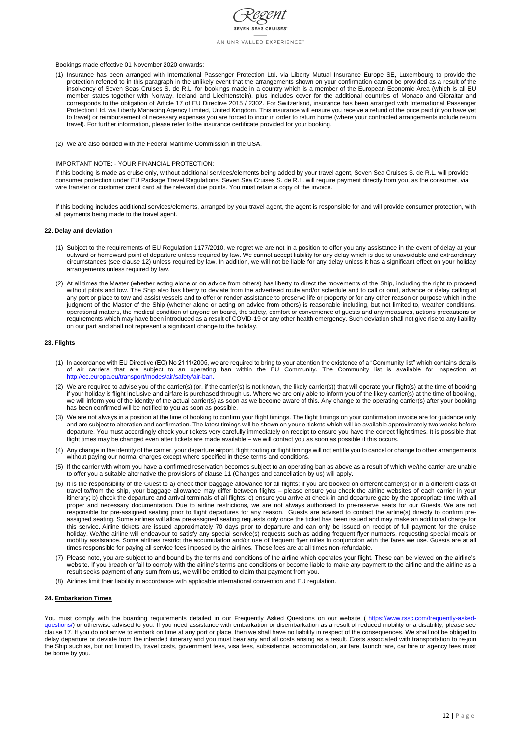

## Bookings made effective 01 November 2020 onwards:

- (1) Insurance has been arranged with International Passenger Protection Ltd. via Liberty Mutual Insurance Europe SE, Luxembourg to provide the protection referred to in this paragraph in the unlikely event that the arrangements shown on your confirmation cannot be provided as a result of the insolvency of Seven Seas Cruises S. de R.L. for bookings made in a country which is a member of the European Economic Area (which is all EU member states together with Norway, Iceland and Liechtenstein), plus includes cover for the additional countries of Monaco and Gibraltar and corresponds to the obligation of Article 17 of EU Directive 2015 / 2302. For Switzerland, insurance has been arranged with International Passenger Protection Ltd. via Liberty Managing Agency Limited, United Kingdom. This insurance will ensure you receive a refund of the price paid (if you have yet to travel) or reimbursement of necessary expenses you are forced to incur in order to return home (where your contracted arrangements include return travel). For further information, please refer to the insurance certificate provided for your booking.
- (2) We are also bonded with the Federal Maritime Commission in the USA.

### IMPORTANT NOTE: - YOUR FINANCIAL PROTECTION:

If this booking is made as cruise only, without additional services/elements being added by your travel agent, Seven Sea Cruises S. de R.L. will provide consumer protection under EU Package Travel Regulations. Seven Sea Cruises S. de R.L. will require payment directly from you, as the consumer, via wire transfer or customer credit card at the relevant due points. You must retain a copy of the invoice.

If this booking includes additional services/elements, arranged by your travel agent, the agent is responsible for and will provide consumer protection, with all payments being made to the travel agent.

### **22. Delay and deviation**

- (1) Subject to the requirements of EU Regulation 1177/2010, we regret we are not in a position to offer you any assistance in the event of delay at your outward or homeward point of departure unless required by law. We cannot accept liability for any delay which is due to unavoidable and extraordinary circumstances (see clause 12) unless required by law. In addition, we will not be liable for any delay unless it has a significant effect on your holiday arrangements unless required by law.
- (2) At all times the Master (whether acting alone or on advice from others) has liberty to direct the movements of the Ship, including the right to proceed without pilots and tow. The Ship also has liberty to deviate from the advertised route and/or schedule and to call or omit, advance or delay calling at any port or place to tow and assist vessels and to offer or render assistance to preserve life or property or for any other reason or purpose which in the judgment of the Master of the Ship (whether alone or acting on advice from others) is reasonable including, but not limited to, weather conditions, operational matters, the medical condition of anyone on board, the safety, comfort or convenience of guests and any measures, actions precautions or requirements which may have been introduced as a result of COVID-19 or any other health emergency. Such deviation shall not give rise to any liability on our part and shall not represent a significant change to the holiday.

### **23. Flights**

You must comply with the boarding requirements detailed in our Frequently Asked Questions on our website ([https://www.rssc.com/frequently-asked](https://www.rssc.com/frequently-asked-questions/)[questions/\)](https://www.rssc.com/frequently-asked-questions/) or otherwise advised to you. If you need assistance with embarkation or disembarkation as a result of reduced mobility or a disability, please see clause 17. If you do not arrive to embark on time at any port or place, then we shall have no liability in respect of the consequences. We shall not be obliged to delay departure or deviate from the intended itinerary and you must bear any and all costs arising as a result. Costs associated with transportation to re-join the Ship such as, but not limited to, travel costs, government fees, visa fees, subsistence, accommodation, air fare, launch fare, car hire or agency fees must be borne by you.

- (1) In accordance with EU Directive (EC) No 2111/2005, we are required to bring to your attention the existence of a "Community list" which contains details of air carriers that are subject to an operating ban within the EU Community. The Community list is available for inspection at [http://ec.europa.eu/transport/modes/air/safety/air-ban.](file://///nclde.ncl.com/departments/UK-CE_PS-Operations/00-European%20Business%20Operations/Legal%20Booking%20Conditions%20and%20Contracts/Regent%20Seven%20Seas/Regent%2017%2020%20UK%20Terms%20and%20Conditions%20Proposal%20JULY%202017%20(amended%20by%20MB%20%20%20.docx)
- (2) We are required to advise you of the carrier(s) (or, if the carrier(s) is not known, the likely carrier(s)) that will operate your flight(s) at the time of booking if your holiday is flight inclusive and airfare is purchased through us. Where we are only able to inform you of the likely carrier(s) at the time of booking, we will inform you of the identity of the actual carrier(s) as soon as we become aware of this. Any change to the operating carrier(s) after your booking has been confirmed will be notified to you as soon as possible.
- (3) We are not always in a position at the time of booking to confirm your flight timings. The flight timings on your confirmation invoice are for guidance only and are subject to alteration and confirmation. The latest timings will be shown on your e-tickets which will be available approximately two weeks before departure. You must accordingly check your tickets very carefully immediately on receipt to ensure you have the correct flight times. It is possible that flight times may be changed even after tickets are made available – we will contact you as soon as possible if this occurs.
- (4) Any change in the identity of the carrier, your departure airport, flight routing or flight timings will not entitle you to cancel or change to other arrangements without paying our normal charges except where specified in these terms and conditions.
- (5) If the carrier with whom you have a confirmed reservation becomes subject to an operating ban as above as a result of which we/the carrier are unable to offer you a suitable alternative the provisions of clause 11 (Changes and cancellation by us) will apply.
- (6) It is the responsibility of the Guest to a) check their baggage allowance for all flights; if you are booked on different carrier(s) or in a different class of travel to/from the ship, your baggage allowance may differ between flights – please ensure you check the airline websites of each carrier in your itinerary; b) check the departure and arrival terminals of all flights; c) ensure you arrive at check-in and departure gate by the appropriate time with all proper and necessary documentation. Due to airline restrictions, we are not always authorised to pre-reserve seats for our Guests. We are not responsible for pre-assigned seating prior to flight departures for any reason. Guests are advised to contact the airline(s) directly to confirm preassigned seating. Some airlines will allow pre-assigned seating requests only once the ticket has been issued and may make an additional charge for this service. Airline tickets are issued approximately 70 days prior to departure and can only be issued on receipt of full payment for the cruise holiday. We/the airline will endeavour to satisfy any special service(s) requests such as adding frequent flyer numbers, requesting special meals or mobility assistance. Some airlines restrict the accumulation and/or use of frequent flyer miles in conjunction with the fares we use. Guests are at all times responsible for paying all service fees imposed by the airlines. These fees are at all times non-refundable.
- (7) Please note, you are subject to and bound by the terms and conditions of the airline which operates your flight. These can be viewed on the airline's website. If you breach or fail to comply with the airline's terms and conditions or become liable to make any payment to the airline and the airline as a result seeks payment of any sum from us, we will be entitled to claim that payment from you.
- (8) Airlines limit their liability in accordance with applicable international convention and EU regulation.

### **24. Embarkation Times**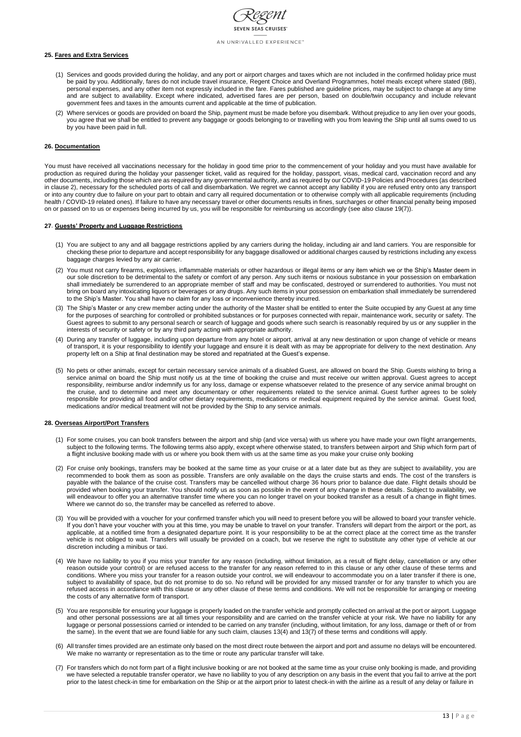

### **25. Fares and Extra Services**

- (1) Services and goods provided during the holiday, and any port or airport charges and taxes which are not included in the confirmed holiday price must be paid by you. Additionally, fares do not include travel insurance, Regent Choice and Overland Programmes, hotel meals except where stated (BB), personal expenses, and any other item not expressly included in the fare. Fares published are guideline prices, may be subject to change at any time and are subject to availability. Except where indicated, advertised fares are per person, based on double/twin occupancy and include relevant government fees and taxes in the amounts current and applicable at the time of publication.
- (2) Where services or goods are provided on board the Ship, payment must be made before you disembark. Without prejudice to any lien over your goods, you agree that we shall be entitled to prevent any baggage or goods belonging to or travelling with you from leaving the Ship until all sums owed to us by you have been paid in full.

### **26. Documentation**

You must have received all vaccinations necessary for the holiday in good time prior to the commencement of your holiday and you must have available for production as required during the holiday your passenger ticket, valid as required for the holiday, passport, visas, medical card, vaccination record and any other documents, including those which are as required by any governmental authority, and as required by our COVID-19 Policies and Procedures (as described in clause 2), necessary for the scheduled ports of call and disembarkation. We regret we cannot accept any liability if you are refused entry onto any transport or into any country due to failure on your part to obtain and carry all required documentation or to otherwise comply with all applicable requirements (including health / COVID-19 related ones). If failure to have any necessary travel or other documents results in fines, surcharges or other financial penalty being imposed on or passed on to us or expenses being incurred by us, you will be responsible for reimbursing us accordingly (see also clause 19(7)).

### **27**. **Guests' Property and Luggage Restrictions**

- (1) You are subject to any and all baggage restrictions applied by any carriers during the holiday, including air and land carriers. You are responsible for checking these prior to departure and accept responsibility for any baggage disallowed or additional charges caused by restrictions including any excess baggage charges levied by any air carrier.
- (2) You must not carry firearms, explosives, inflammable materials or other hazardous or illegal items or any item which we or the Ship's Master deem in our sole discretion to be detrimental to the safety or comfort of any person. Any such items or noxious substance in your possession on embarkation shall immediately be surrendered to an appropriate member of staff and may be confiscated, destroyed or surrendered to authorities. You must not bring on board any intoxicating liquors or beverages or any drugs. Any such items in your possession on embarkation shall immediately be surrendered to the Ship's Master. You shall have no claim for any loss or inconvenience thereby incurred.
- (3) The Ship's Master or any crew member acting under the authority of the Master shall be entitled to enter the Suite occupied by any Guest at any time for the purposes of searching for controlled or prohibited substances or for purposes connected with repair, maintenance work, security or safety. The Guest agrees to submit to any personal search or search of luggage and goods where such search is reasonably required by us or any supplier in the interests of security or safety or by any third party acting with appropriate authority.
- (4) During any transfer of luggage, including upon departure from any hotel or airport, arrival at any new destination or upon change of vehicle or means of transport, it is your responsibility to identify your luggage and ensure it is dealt with as may be appropriate for delivery to the next destination. Any property left on a Ship at final destination may be stored and repatriated at the Guest's expense.
- (5) No pets or other animals, except for certain necessary service animals of a disabled Guest, are allowed on board the Ship. Guests wishing to bring a service animal on board the Ship must notify us at the time of booking the cruise and must receive our written approval. Guest agrees to accept responsibility, reimburse and/or indemnify us for any loss, damage or expense whatsoever related to the presence of any service animal brought on the cruise, and to determine and meet any documentary or other requirements related to the service animal. Guest further agrees to be solely responsible for providing all food and/or other dietary requirements, medications or medical equipment required by the service animal. Guest food, medications and/or medical treatment will not be provided by the Ship to any service animals.

#### **28. Overseas Airport/Port Transfers**

- (1) For some cruises, you can book transfers between the airport and ship (and vice versa) with us where you have made your own flight arrangements, subject to the following terms. The following terms also apply, except where otherwise stated, to transfers between airport and Ship which form part of a flight inclusive booking made with us or where you book them with us at the same time as you make your cruise only booking
- (2) For cruise only bookings, transfers may be booked at the same time as your cruise or at a later date but as they are subject to availability, you are recommended to book them as soon as possible. Transfers are only available on the days the cruise starts and ends. The cost of the transfers is payable with the balance of the cruise cost. Transfers may be cancelled without charge 36 hours prior to balance due date. Flight details should be provided when booking your transfer. You should notify us as soon as possible in the event of any change in these details. Subject to availability, we will endeavour to offer you an alternative transfer time where you can no longer travel on your booked transfer as a result of a change in flight times. Where we cannot do so, the transfer may be cancelled as referred to above.
- (3) You will be provided with a voucher for your confirmed transfer which you will need to present before you will be allowed to board your transfer vehicle. If you don't have your voucher with you at this time, you may be unable to travel on your transfer. Transfers will depart from the airport or the port, as applicable, at a notified time from a designated departure point. It is your responsibility to be at the correct place at the correct time as the transfer vehicle is not obliged to wait. Transfers will usually be provided on a coach, but we reserve the right to substitute any other type of vehicle at our discretion including a minibus or taxi.
- (4) We have no liability to you if you miss your transfer for any reason (including, without limitation, as a result of flight delay, cancellation or any other reason outside your control) or are refused access to the transfer for any reason referred to in this clause or any other clause of these terms and conditions. Where you miss your transfer for a reason outside your control, we will endeavour to accommodate you on a later transfer if there is one, subject to availability of space, but do not promise to do so. No refund will be provided for any missed transfer or for any transfer to which you are refused access in accordance with this clause or any other clause of these terms and conditions. We will not be responsible for arranging or meeting the costs of any alternative form of transport.
- (5) You are responsible for ensuring your luggage is properly loaded on the transfer vehicle and promptly collected on arrival at the port or airport. Luggage and other personal possessions are at all times your responsibility and are carried on the transfer vehicle at your risk. We have no liability for any luggage or personal possessions carried or intended to be carried on any transfer (including, without limitation, for any loss, damage or theft of or from the same). In the event that we are found liable for any such claim, clauses 13(4) and 13(7) of these terms and conditions will apply.
- (6) All transfer times provided are an estimate only based on the most direct route between the airport and port and assume no delays will be encountered. We make no warranty or representation as to the time or route any particular transfer will take.
- (7) For transfers which do not form part of a flight inclusive booking or are not booked at the same time as your cruise only booking is made, and providing we have selected a reputable transfer operator, we have no liability to you of any description on any basis in the event that you fail to arrive at the port prior to the latest check-in time for embarkation on the Ship or at the airport prior to latest check-in with the airline as a result of any delay or failure in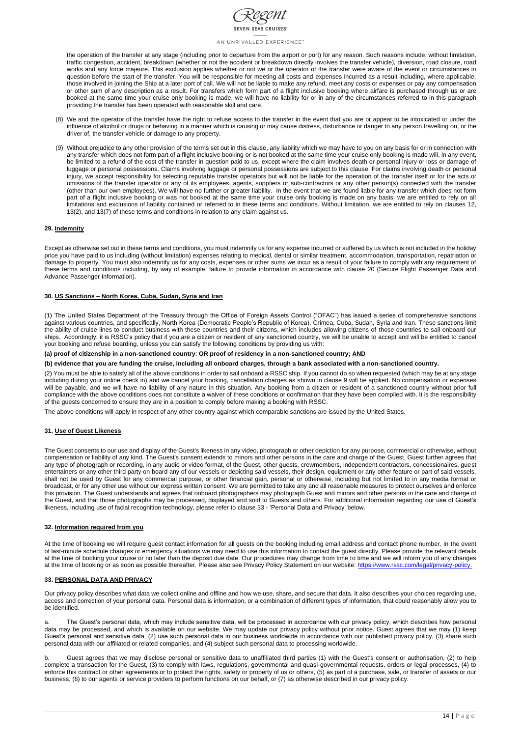

the operation of the transfer at any stage (including prior to departure from the airport or port) for any reason. Such reasons include, without limitation, traffic congestion, accident, breakdown (whether or not the accident or breakdown directly involves the transfer vehicle), diversion, road closure, road works and any force majeure. This exclusion applies whether or not we or the operator of the transfer were aware of the event or circumstances in question before the start of the transfer. You will be responsible for meeting all costs and expenses incurred as a result including, where applicable, those involved in joining the Ship at a later port of call. We will not be liable to make any refund, meet any costs or expenses or pay any compensation or other sum of any description as a result. For transfers which form part of a flight inclusive booking where airfare is purchased through us or are booked at the same time your cruise only booking is made, we will have no liability for or in any of the circumstances referred to in this paragraph providing the transfer has been operated with reasonable skill and care.

- (8) We and the operator of the transfer have the right to refuse access to the transfer in the event that you are or appear to be intoxicated or under the influence of alcohol or drugs or behaving in a manner which is causing or may cause distress, disturbance or danger to any person travelling on, or the driver of, the transfer vehicle or damage to any property.
- (9) Without prejudice to any other provision of the terms set out in this clause, any liability which we may have to you on any basis for or in connection with any transfer which does not form part of a flight inclusive booking or is not booked at the same time your cruise only booking is made will, in any event, be limited to a refund of the cost of the transfer in question paid to us, except where the claim involves death or personal injury or loss or damage of luggage or personal possessions. Claims involving luggage or personal possessions are subject to this clause. For claims involving death or personal injury, we accept responsibility for selecting reputable transfer operators but will not be liable for the operation of the transfer itself or for the acts or omissions of the transfer operator or any of its employees, agents, suppliers or sub-contractors or any other person(s) connected with the transfer (other than our own employees). We will have no further or greater liability. In the event that we are found liable for any transfer which does not form part of a flight inclusive booking or was not booked at the same time your cruise only booking is made on any basis, we are entitled to rely on all limitations and exclusions of liability contained or referred to in these terms and conditions. Without limitation, we are entitled to rely on clauses 12, 13(2), and 13(7) of these terms and conditions in relation to any claim against us.

### **29. Indemnity**

Except as otherwise set out in these terms and conditions, you must indemnify us for any expense incurred or suffered by us which is not included in the holiday price you have paid to us including (without limitation) expenses relating to medical, dental or similar treatment, accommodation, transportation, repatriation or damage to property. You must also indemnify us for any costs, expenses or other sums we incur as a result of your failure to comply with any requirement of these terms and conditions including, by way of example, failure to provide information in accordance with clause 20 (Secure Flight Passenger Data and Advance Passenger Information).

At the time of booking we will require guest contact information for all guests on the booking including email address and contact phone number. In the event of last-minute schedule changes or emergency situations we may need to use this information to contact the guest directly. Please provide the relevant details at the time of booking your cruise or no later than the deposit due date. Our procedures may change from time to time and we will inform you of any changes at the time of booking or as soon as possible thereafter. Please also see Privacy Policy Statement on our website: [https://www.rssc.com/legal/privacy-policy.](https://www.rssc.com/legal/privacy-policy)

### **30. US Sanctions – North Korea, Cuba, Sudan, Syria and Iran**

(1) The United States Department of the Treasury through the Office of Foreign Assets Control ("OFAC") has issued a series of comprehensive sanctions against various countries, and specifically, North Korea (Democratic People's Republic of Korea), Crimea, Cuba, Sudan, Syria and Iran. These sanctions limit the ability of cruise lines to conduct business with these countries and their citizens, which includes allowing citizens of those countries to sail onboard our ships. Accordingly, it is RSSC's policy that if you are a citizen or resident of any sanctioned country, we will be unable to accept and will be entitled to cancel your booking and refuse boarding, unless you can satisfy the following conditions by providing us with:

### **(a) proof of citizenship in a non-sanctioned country**; **OR proof of residency in a non-sanctioned country; AND**

#### **(b) evidence that you are funding the cruise, including all onboard charges, through a bank associated with a non-sanctioned country.**

(2) You must be able to satisfy all of the above conditions in order to sail onboard a RSSC ship. If you cannot do so when requested (which may be at any stage including during your online check in) and we cancel your booking, cancellation charges as shown in clause 9 will be applied. No compensation or expenses will be payable, and we will have no liability of any nature in this situation. Any booking from a citizen or resident of a sanctioned country without prior full compliance with the above conditions does not constitute a waiver of these conditions or confirmation that they have been complied with. It is the responsibility of the guests concerned to ensure they are in a position to comply before making a booking with RSSC.

The above conditions will apply in respect of any other country against which comparable sanctions are issued by the United States.

### **31. Use of Guest Likeness**

The Guest consents to our use and display of the Guest's likeness in any video, photograph or other depiction for any purpose, commercial or otherwise, without compensation or liability of any kind. The Guest's consent extends to minors and other persons in the care and charge of the Guest. Guest further agrees that any type of photograph or recording, in any audio or video format, of the Guest, other guests, crewmembers, independent contractors, concessionaires, guest entertainers or any other third party on board any of our vessels or depicting said vessels, their design, equipment or any other feature or part of said vessels, shall not be used by Guest for any commercial purpose, or other financial gain, personal or otherwise, including but not limited to in any media format or broadcast, or for any other use without our express written consent. We are permitted to take any and all reasonable measures to protect ourselves and enforce this provision. The Guest understands and agrees that onboard photographers may photograph Guest and minors and other persons in the care and charge of the Guest, and that those photographs may be processed, displayed and sold to Guests and others. For additional information regarding our use of Guest's likeness, including use of facial recognition technology, please refer to clause 33 - 'Personal Data and Privacy' below.

### **32. Information required from you**

## **33. PERSONAL DATA AND PRIVACY**

Our privacy policy describes what data we collect online and offline and how we use, share, and secure that data. It also describes your choices regarding use, access and correction of your personal data. Personal data is information, or a combination of different types of information, that could reasonably allow you to be identified.

a. The Guest's personal data, which may include sensitive data, will be processed in accordance with our privacy policy, which describes how personal data may be processed, and which is available on our website. We may update our privacy policy without prior notice. Guest agrees that we may (1) keep Guest's personal and sensitive data, (2) use such personal data in our business worldwide in accordance with our published privacy policy, (3) share such personal data with our affiliated or related companies, and (4) subject such personal data to processing worldwide.

b. Guest agrees that we may disclose personal or sensitive data to unaffiliated third parties (1) with the Guest's consent or authorisation, (2) to help complete a transaction for the Guest, (3) to comply with laws, regulations, governmental and quasi-governmental requests, orders or legal processes, (4) to enforce this contract or other agreements or to protect the rights, safety or property of us or others, (5) as part of a purchase, sale, or transfer of assets or our business, (6) to our agents or service providers to perform functions on our behalf, or (7) as otherwise described in our privacy policy.